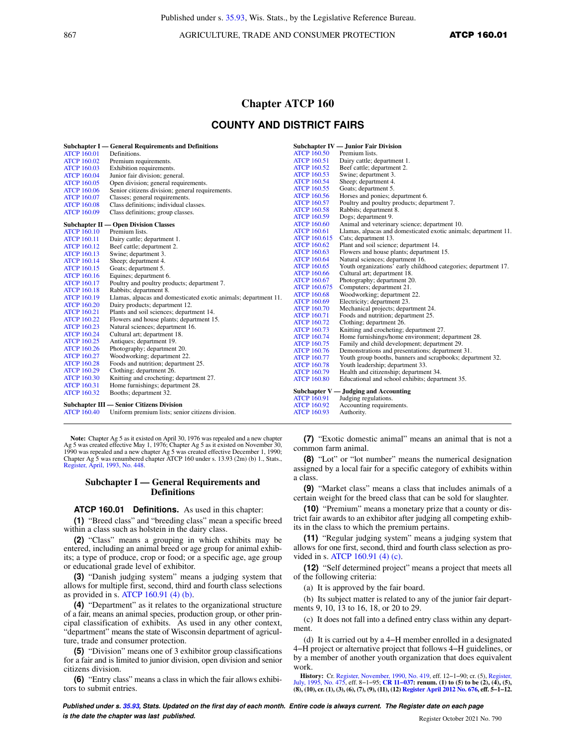867 AGRICULTURE, TRADE AND CONSUMER PROTECTION **ATCP 160.01** 

## **Chapter ATCP 160**

# **COUNTY AND DISTRICT FAIRS**

|                    | <b>Subchapter I</b> — General Requirements and Definitions      |                     | <b>Subchapter IV — Junior Fair Division</b>                     |
|--------------------|-----------------------------------------------------------------|---------------------|-----------------------------------------------------------------|
| <b>ATCP 160.01</b> | Definitions.                                                    | <b>ATCP 160.50</b>  | Premium lists.                                                  |
| <b>ATCP 160.02</b> | Premium requirements.                                           | <b>ATCP 160.51</b>  | Dairy cattle; department 1.                                     |
| <b>ATCP 160.03</b> | Exhibition requirements.                                        | <b>ATCP 160.52</b>  | Beef cattle; department 2.                                      |
| <b>ATCP 160.04</b> | Junior fair division; general.                                  | <b>ATCP 160.53</b>  | Swine; department 3.                                            |
| <b>ATCP 160.05</b> | Open division; general requirements.                            | <b>ATCP 160.54</b>  | Sheep; department 4.                                            |
| <b>ATCP 160.06</b> | Senior citizens division; general requirements.                 | <b>ATCP 160.55</b>  | Goats; department 5.                                            |
| <b>ATCP 160.07</b> | Classes; general requirements.                                  | <b>ATCP 160.56</b>  | Horses and ponies; department 6.                                |
| <b>ATCP 160.08</b> | Class definitions; individual classes.                          | <b>ATCP 160.57</b>  | Poultry and poultry products; department 7.                     |
| <b>ATCP 160.09</b> | Class definitions; group classes.                               | <b>ATCP 160.58</b>  | Rabbits; department 8.                                          |
|                    |                                                                 | <b>ATCP 160.59</b>  | Dogs; department 9.                                             |
|                    | <b>Subchapter II — Open Division Classes</b>                    | <b>ATCP 160.60</b>  | Animal and veterinary science; department 10.                   |
| <b>ATCP 160.10</b> | Premium lists.                                                  | <b>ATCP 160.61</b>  | Llamas, alpacas and domesticated exotic animals; department 11. |
| <b>ATCP 160.11</b> | Dairy cattle; department 1.                                     | <b>ATCP 160.615</b> | Cats; department 13.                                            |
| <b>ATCP 160.12</b> | Beef cattle; department 2.                                      | <b>ATCP 160.62</b>  | Plant and soil science; department 14.                          |
| <b>ATCP 160.13</b> | Swine; department 3.                                            | <b>ATCP 160.63</b>  | Flowers and house plants; department 15.                        |
| <b>ATCP 160.14</b> | Sheep; department 4.                                            | <b>ATCP 160.64</b>  | Natural sciences; department 16.                                |
| <b>ATCP 160.15</b> | Goats; department 5.                                            | <b>ATCP 160.65</b>  | Youth organizations' early childhood categories; department 17. |
| <b>ATCP 160.16</b> | Equines; department 6.                                          | <b>ATCP 160.66</b>  | Cultural art; department 18.                                    |
| <b>ATCP 160.17</b> | Poultry and poultry products; department 7.                     | <b>ATCP 160.67</b>  | Photography; department 20.                                     |
| <b>ATCP 160.18</b> | Rabbits; department 8.                                          | <b>ATCP 160.675</b> | Computers; department 21.                                       |
| <b>ATCP 160.19</b> | Llamas, alpacas and domesticated exotic animals; department 11. | <b>ATCP 160.68</b>  | Woodworking; department 22.                                     |
| <b>ATCP 160.20</b> | Dairy products; department 12.                                  | <b>ATCP 160.69</b>  | Electricity; department 23.                                     |
| <b>ATCP 160.21</b> | Plants and soil sciences; department 14.                        | <b>ATCP 160.70</b>  | Mechanical projects; department 24.                             |
| <b>ATCP 160.22</b> | Flowers and house plants; department 15.                        | <b>ATCP 160.71</b>  | Foods and nutrition; department 25.                             |
| <b>ATCP 160.23</b> | Natural sciences; department 16.                                | <b>ATCP 160.72</b>  | Clothing; department 26.                                        |
| <b>ATCP 160.24</b> | Cultural art; department 18.                                    | <b>ATCP 160.73</b>  | Knitting and crocheting; department 27.                         |
| <b>ATCP 160.25</b> | Antiques; department 19.                                        | <b>ATCP 160.74</b>  | Home furnishings/home environment; department 28.               |
| <b>ATCP 160.26</b> | Photography; department 20.                                     | <b>ATCP 160.75</b>  | Family and child development; department 29.                    |
| <b>ATCP 160.27</b> | Woodworking; department 22.                                     | <b>ATCP 160.76</b>  | Demonstrations and presentations; department 31.                |
| <b>ATCP 160.28</b> | Foods and nutrition; department 25.                             | <b>ATCP 160.77</b>  | Youth group booths, banners and scrapbooks; department 32.      |
| <b>ATCP 160.29</b> | Clothing; department 26.                                        | <b>ATCP 160.78</b>  | Youth leadership; department 33.                                |
| <b>ATCP 160.30</b> | Knitting and crocheting; department 27.                         | <b>ATCP 160.79</b>  | Health and citizenship; department 34.                          |
| <b>ATCP 160.31</b> | Home furnishings; department 28.                                | <b>ATCP 160.80</b>  | Educational and school exhibits; department 35.                 |
| <b>ATCP 160.32</b> | Booths; department 32.                                          |                     | Subchapter $V -$ Judging and Accounting                         |
|                    |                                                                 | <b>ATCP 160.91</b>  | Judging regulations.                                            |
|                    | Subchapter III — Senior Citizens Division                       | <b>ATCP 160.92</b>  | Accounting requirements.                                        |
| <b>ATCP 160.40</b> | Uniform premium lists; senior citizens division.                | <b>ATCP 160.93</b>  | Authority.                                                      |
|                    |                                                                 |                     |                                                                 |

**Note:** Chapter Ag 5 as it existed on April 30, 1976 was repealed and a new chapter Ag 5 was created effective May 1, 1976; Chapter Ag 5 as it existed on November 30, 1990 was repealed and a new chapter Ag 5 was created effective December 1, 1990; Chapter Ag 5 was renumbered chapter ATCP 160 under s. 13.93 (2m) (b) 1., Stats., Register, April, 1993, No. 448.

### **Subchapter I — General Requirements and Definitions**

#### **ATCP 160.01 Definitions.** As used in this chapter:

**(1)** "Breed class" and "breeding class" mean a specific breed within a class such as holstein in the dairy class.

**(2)** "Class" means a grouping in which exhibits may be entered, including an animal breed or age group for animal exhibits; a type of produce, crop or food; or a specific age, age group or educational grade level of exhibitor.

**(3)** "Danish judging system" means a judging system that allows for multiple first, second, third and fourth class selections as provided in s. ATCP 160.91 (4) (b).

**(4)** "Department" as it relates to the organizational structure of a fair, means an animal species, production group, or other principal classification of exhibits. As used in any other context, "department" means the state of Wisconsin department of agriculture, trade and consumer protection.

**(5)** "Division" means one of 3 exhibitor group classifications for a fair and is limited to junior division, open division and senior citizens division.

**(6)** "Entry class" means a class in which the fair allows exhibitors to submit entries.

**(7)** "Exotic domestic animal" means an animal that is not a common farm animal.

**(8)** "Lot" or "lot number" means the numerical designation assigned by a local fair for a specific category of exhibits within a class.

**(9)** "Market class" means a class that includes animals of a certain weight for the breed class that can be sold for slaughter.

**(10)** "Premium" means a monetary prize that a county or district fair awards to an exhibitor after judging all competing exhibits in the class to which the premium pertains.

**(11)** "Regular judging system" means a judging system that allows for one first, second, third and fourth class selection as provided in s. ATCP 160.91 (4) (c).

**(12)** "Self determined project" means a project that meets all of the following criteria:

(a) It is approved by the fair board.

(b) Its subject matter is related to any of the junior fair departments 9, 10, 13 to 16, 18, or 20 to 29.

(c) It does not fall into a defined entry class within any department.

(d) It is carried out by a 4−H member enrolled in a designated 4−H project or alternative project that follows 4−H guidelines, or by a member of another youth organization that does equivalent work.

**History:** Cr. Register, November, 1990, No. 419, eff. 12−1−90; cr. (5), Register, July, 1995, No. 475, eff. 8−1−95; **CR 11−037: renum. (1) to (5) to be (2), (4), (5), (8), (10), cr. (1), (3), (6), (7), (9), (11), (12) Register April 2012 No. 676, eff. 5−1−12.**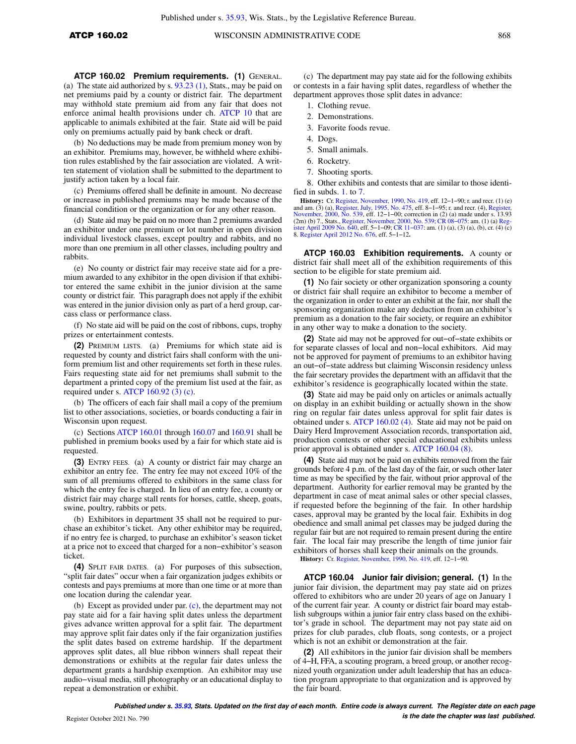**ATCP 160.02 Premium requirements. (1)** GENERAL. (a) The state aid authorized by s. 93.23 (1), Stats., may be paid on net premiums paid by a county or district fair. The department may withhold state premium aid from any fair that does not enforce animal health provisions under ch. ATCP 10 that are

applicable to animals exhibited at the fair. State aid will be paid only on premiums actually paid by bank check or draft.

(b) No deductions may be made from premium money won by an exhibitor. Premiums may, however, be withheld where exhibition rules established by the fair association are violated. A written statement of violation shall be submitted to the department to justify action taken by a local fair.

(c) Premiums offered shall be definite in amount. No decrease or increase in published premiums may be made because of the financial condition or the organization or for any other reason.

(d) State aid may be paid on no more than 2 premiums awarded an exhibitor under one premium or lot number in open division individual livestock classes, except poultry and rabbits, and no more than one premium in all other classes, including poultry and rabbits.

(e) No county or district fair may receive state aid for a premium awarded to any exhibitor in the open division if that exhibitor entered the same exhibit in the junior division at the same county or district fair. This paragraph does not apply if the exhibit was entered in the junior division only as part of a herd group, carcass class or performance class.

(f) No state aid will be paid on the cost of ribbons, cups, trophy prizes or entertainment contests.

**(2)** PREMIUM LISTS. (a) Premiums for which state aid is requested by county and district fairs shall conform with the uniform premium list and other requirements set forth in these rules. Fairs requesting state aid for net premiums shall submit to the department a printed copy of the premium list used at the fair, as required under s. ATCP 160.92 (3) (c).

(b) The officers of each fair shall mail a copy of the premium list to other associations, societies, or boards conducting a fair in Wisconsin upon request.

(c) Sections ATCP 160.01 through 160.07 and 160.91 shall be published in premium books used by a fair for which state aid is requested.

**(3)** ENTRY FEES. (a) A county or district fair may charge an exhibitor an entry fee. The entry fee may not exceed 10% of the sum of all premiums offered to exhibitors in the same class for which the entry fee is charged. In lieu of an entry fee, a county or district fair may charge stall rents for horses, cattle, sheep, goats, swine, poultry, rabbits or pets.

(b) Exhibitors in department 35 shall not be required to purchase an exhibitor's ticket. Any other exhibitor may be required, if no entry fee is charged, to purchase an exhibitor's season ticket at a price not to exceed that charged for a non−exhibitor's season ticket.

**(4)** SPLIT FAIR DATES. (a) For purposes of this subsection, "split fair dates" occur when a fair organization judges exhibits or contests and pays premiums at more than one time or at more than one location during the calendar year.

(b) Except as provided under par. (c), the department may not pay state aid for a fair having split dates unless the department gives advance written approval for a split fair. The department may approve split fair dates only if the fair organization justifies the split dates based on extreme hardship. If the department approves split dates, all blue ribbon winners shall repeat their demonstrations or exhibits at the regular fair dates unless the department grants a hardship exemption. An exhibitor may use audio−visual media, still photography or an educational display to repeat a demonstration or exhibit.

(c) The department may pay state aid for the following exhibits or contests in a fair having split dates, regardless of whether the department approves those split dates in advance:

- 1. Clothing revue.
- 2. Demonstrations.
- 3. Favorite foods revue.
- 4. Dogs.
- 5. Small animals.
- 6. Rocketry.
- 7. Shooting sports.

8. Other exhibits and contests that are similar to those identified in subds. 1. to 7.

**History:** Cr. Register, November, 1990, No. 419, eff. 12–1–90; r. and recr. (1) (e) and am. (3) (a), Register, July, 1995, No. 475, eff. 8–1–95; r. and recr. (4), Reg November, 2000, No. 539, eff. 12–1–00; correction in (2) (a) made under s. 13.93<br>(2m) (b) 7., Stats., Register, November, 2000, No. 539; CR 08–075: am. (1) (a) Reg-<br>ister April 2009 No. 640, eff. 5–1–09; CR 11–037: am. (1) 8. Register April 2012 No. 676, eff. 5−1−12**.**

**ATCP 160.03 Exhibition requirements.** A county or district fair shall meet all of the exhibition requirements of this section to be eligible for state premium aid.

**(1)** No fair society or other organization sponsoring a county or district fair shall require an exhibitor to become a member of the organization in order to enter an exhibit at the fair, nor shall the sponsoring organization make any deduction from an exhibitor's premium as a donation to the fair society, or require an exhibitor in any other way to make a donation to the society.

**(2)** State aid may not be approved for out−of−state exhibits or for separate classes of local and non−local exhibitors. Aid may not be approved for payment of premiums to an exhibitor having an out−of−state address but claiming Wisconsin residency unless the fair secretary provides the department with an affidavit that the exhibitor's residence is geographically located within the state.

**(3)** State aid may be paid only on articles or animals actually on display in an exhibit building or actually shown in the show ring on regular fair dates unless approval for split fair dates is obtained under s. ATCP 160.02 (4). State aid may not be paid on Dairy Herd Improvement Association records, transportation aid, production contests or other special educational exhibits unless prior approval is obtained under s. ATCP 160.04 (8).

**(4)** State aid may not be paid on exhibits removed from the fair grounds before 4 p.m. of the last day of the fair, or such other later time as may be specified by the fair, without prior approval of the department. Authority for earlier removal may be granted by the department in case of meat animal sales or other special classes, if requested before the beginning of the fair. In other hardship cases, approval may be granted by the local fair. Exhibits in dog obedience and small animal pet classes may be judged during the regular fair but are not required to remain present during the entire fair. The local fair may prescribe the length of time junior fair exhibitors of horses shall keep their animals on the grounds. **History:** Cr. Register, November, 1990, No. 419, eff. 12−1−90.

**ATCP 160.04 Junior fair division; general. (1)** In the junior fair division, the department may pay state aid on prizes offered to exhibitors who are under 20 years of age on January 1 of the current fair year. A county or district fair board may establish subgroups within a junior fair entry class based on the exhibitor's grade in school. The department may not pay state aid on prizes for club parades, club floats, song contests, or a project which is not an exhibit or demonstration at the fair.

**(2)** All exhibitors in the junior fair division shall be members of 4−H, FFA, a scouting program, a breed group, or another recognized youth organization under adult leadership that has an education program appropriate to that organization and is approved by the fair board.

**Published under s. 35.93, Stats. Updated on the first day of each month. Entire code is always current. The Register date on each page is the date the chapter was last published.** Register October 2021 No. 790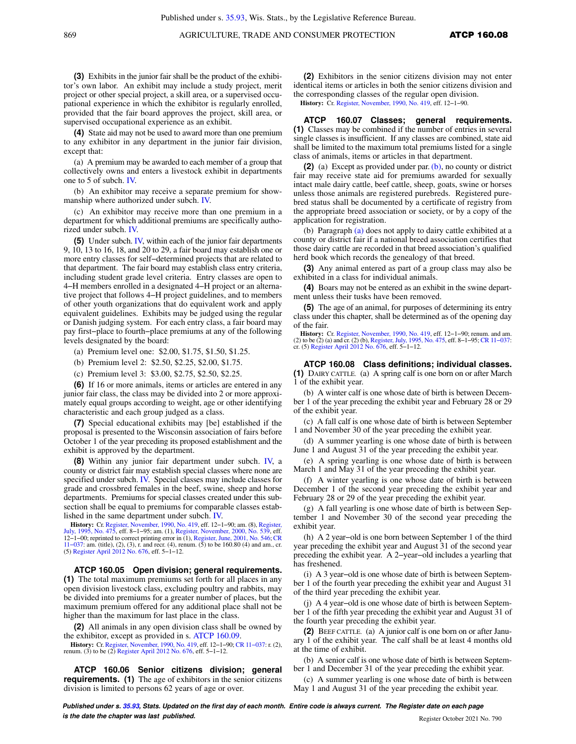**(3)** Exhibits in the junior fair shall be the product of the exhibi-

tor's own labor. An exhibit may include a study project, merit project or other special project, a skill area, or a supervised occupational experience in which the exhibitor is regularly enrolled, provided that the fair board approves the project, skill area, or supervised occupational experience as an exhibit.

**(4)** State aid may not be used to award more than one premium to any exhibitor in any department in the junior fair division, except that:

(a) A premium may be awarded to each member of a group that collectively owns and enters a livestock exhibit in departments one to 5 of subch. IV.

(b) An exhibitor may receive a separate premium for showmanship where authorized under subch. IV.

(c) An exhibitor may receive more than one premium in a department for which additional premiums are specifically authorized under subch. IV.

**(5)** Under subch. IV, within each of the junior fair departments 9, 10, 13 to 16, 18, and 20 to 29, a fair board may establish one or more entry classes for self−determined projects that are related to that department. The fair board may establish class entry criteria, including student grade level criteria. Entry classes are open to 4−H members enrolled in a designated 4−H project or an alternative project that follows 4−H project guidelines, and to members of other youth organizations that do equivalent work and apply equivalent guidelines. Exhibits may be judged using the regular or Danish judging system. For each entry class, a fair board may pay first−place to fourth−place premiums at any of the following levels designated by the board:

- (a) Premium level one: \$2.00, \$1.75, \$1.50, \$1.25.
- (b) Premium level 2: \$2.50, \$2.25, \$2.00, \$1.75.
- (c) Premium level 3: \$3.00, \$2.75, \$2.50, \$2.25.

**(6)** If 16 or more animals, items or articles are entered in any junior fair class, the class may be divided into 2 or more approximately equal groups according to weight, age or other identifying characteristic and each group judged as a class.

**(7)** Special educational exhibits may [be] established if the proposal is presented to the Wisconsin association of fairs before October 1 of the year preceding its proposed establishment and the exhibit is approved by the department.

**(8)** Within any junior fair department under subch. IV, a county or district fair may establish special classes where none are specified under subch. IV. Special classes may include classes for grade and crossbred females in the beef, swine, sheep and horse departments. Premiums for special classes created under this subsection shall be equal to premiums for comparable classes established in the same department under subch. IV.

**History:** Cr. Register, November, 1990, No. 419, eff. 12–1–90; am. (8), Register, July, 1995, No. 475, eff. 8–1–95; am. (1), Register, November, 2000, No. 539, eff. 12–1–00; reprinted to correct printing error in (1), Re (5) Register April 2012 No. 676, eff. 5−1−12.

**ATCP 160.05 Open division; general requirements. (1)** The total maximum premiums set forth for all places in any open division livestock class, excluding poultry and rabbits, may be divided into premiums for a greater number of places, but the maximum premium offered for any additional place shall not be higher than the maximum for last place in the class.

**(2)** All animals in any open division class shall be owned by the exhibitor, except as provided in s. ATCP 160.09.

**History:** Cr. Register, November, 1990, No. 419, eff. 12−1−90; CR 11−037: r. (2), renum. (3) to be (2) Register April 2012 No. 676, eff. 5−1−12.

**ATCP 160.06 Senior citizens division; general requirements. (1)** The age of exhibitors in the senior citizens division is limited to persons 62 years of age or over.

**(2)** Exhibitors in the senior citizens division may not enter identical items or articles in both the senior citizens division and the corresponding classes of the regular open division.

**History:** Cr. Register, November, 1990, No. 419, eff. 12−1−90.

**ATCP 160.07 Classes; general requirements. (1)** Classes may be combined if the number of entries in several single classes is insufficient. If any classes are combined, state aid shall be limited to the maximum total premiums listed for a single class of animals, items or articles in that department.

**(2)** (a) Except as provided under par. (b), no county or district fair may receive state aid for premiums awarded for sexually intact male dairy cattle, beef cattle, sheep, goats, swine or horses unless those animals are registered purebreds. Registered purebred status shall be documented by a certificate of registry from the appropriate breed association or society, or by a copy of the application for registration.

(b) Paragraph (a) does not apply to dairy cattle exhibited at a county or district fair if a national breed association certifies that those dairy cattle are recorded in that breed association's qualified herd book which records the genealogy of that breed.

**(3)** Any animal entered as part of a group class may also be exhibited in a class for individual animals.

**(4)** Boars may not be entered as an exhibit in the swine department unless their tusks have been removed.

**(5)** The age of an animal, for purposes of determining its entry class under this chapter, shall be determined as of the opening day of the fair.

**History:** Cr. Register, November, 1990, No. 419, eff. 12–1–90; renum. and am. (2) to be (2) (a) and cr. (2) (b), Register, July, 1995, No. 475, eff. 8–1−95; CR 11−037: cr. (5) Register April 2012 No. 676, eff. 5–1–12.

**ATCP 160.08 Class definitions; individual classes. (1)** DAIRY CATTLE. (a) A spring calf is one born on or after March 1 of the exhibit year.

(b) A winter calf is one whose date of birth is between December 1 of the year preceding the exhibit year and February 28 or 29 of the exhibit year.

(c) A fall calf is one whose date of birth is between September 1 and November 30 of the year preceding the exhibit year.

(d) A summer yearling is one whose date of birth is between June 1 and August 31 of the year preceding the exhibit year.

(e) A spring yearling is one whose date of birth is between March 1 and May 31 of the year preceding the exhibit year.

(f) A winter yearling is one whose date of birth is between December 1 of the second year preceding the exhibit year and February 28 or 29 of the year preceding the exhibit year.

(g) A fall yearling is one whose date of birth is between September 1 and November 30 of the second year preceding the exhibit year.

(h) A 2 year−old is one born between September 1 of the third year preceding the exhibit year and August 31 of the second year preceding the exhibit year. A 2−year−old includes a yearling that has freshened.

(i) A 3 year−old is one whose date of birth is between September 1 of the fourth year preceding the exhibit year and August 31 of the third year preceding the exhibit year.

(j) A 4 year−old is one whose date of birth is between September 1 of the fifth year preceding the exhibit year and August 31 of the fourth year preceding the exhibit year.

**(2)** BEEF CATTLE. (a) A junior calf is one born on or after January 1 of the exhibit year. The calf shall be at least 4 months old at the time of exhibit.

(b) A senior calf is one whose date of birth is between September 1 and December 31 of the year preceding the exhibit year.

(c) A summer yearling is one whose date of birth is between May 1 and August 31 of the year preceding the exhibit year.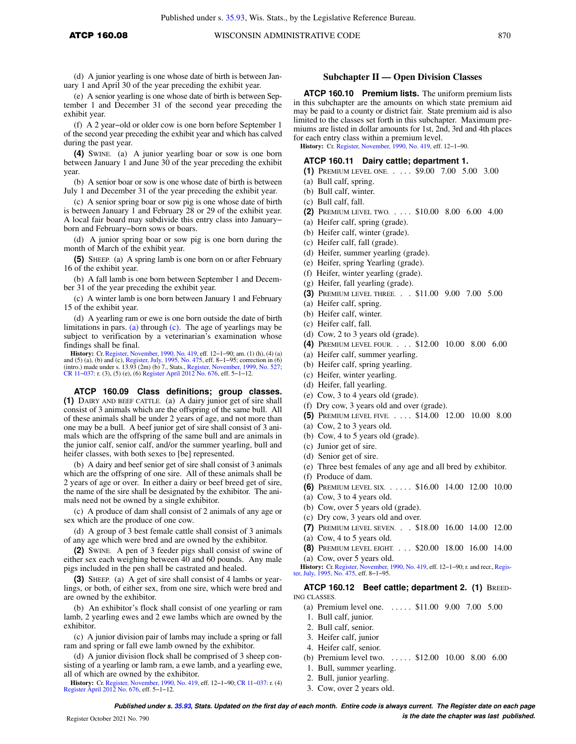(d) A junior yearling is one whose date of birth is between January 1 and April 30 of the year preceding the exhibit year.

(e) A senior yearling is one whose date of birth is between September 1 and December 31 of the second year preceding the exhibit year.

(f) A 2 year−old or older cow is one born before September 1 of the second year preceding the exhibit year and which has calved during the past year.

**(4)** SWINE. (a) A junior yearling boar or sow is one born between January 1 and June 30 of the year preceding the exhibit year.

(b) A senior boar or sow is one whose date of birth is between July 1 and December 31 of the year preceding the exhibit year.

(c) A senior spring boar or sow pig is one whose date of birth is between January 1 and February 28 or 29 of the exhibit year. A local fair board may subdivide this entry class into January− born and February−born sows or boars.

(d) A junior spring boar or sow pig is one born during the month of March of the exhibit year.

**(5)** SHEEP. (a) A spring lamb is one born on or after February 16 of the exhibit year.

(b) A fall lamb is one born between September 1 and December 31 of the year preceding the exhibit year.

(c) A winter lamb is one born between January 1 and February 15 of the exhibit year.

(d) A yearling ram or ewe is one born outside the date of birth limitations in pars. (a) through (c). The age of yearlings may be subject to verification by a veterinarian's examination whose findings shall be final.

**History:** Cr. Register, November, 1990, No. 419, eff. 12–1–90; am. (1) (h), (4) (a) and (5) (a), (b) and (c), Register, July, 1995, No. 475, eff. 8–1–95; correction in (6) (intro.) made under s. 13.93 (2m) (b) 7., Stats.

**ATCP 160.09 Class definitions; group classes. (1)** DAIRY AND BEEF CATTLE. (a) A dairy junior get of sire shall consist of 3 animals which are the offspring of the same bull. All of these animals shall be under 2 years of age, and not more than one may be a bull. A beef junior get of sire shall consist of 3 animals which are the offspring of the same bull and are animals in the junior calf, senior calf, and/or the summer yearling, bull and heifer classes, with both sexes to [be] represented.

(b) A dairy and beef senior get of sire shall consist of 3 animals which are the offspring of one sire. All of these animals shall be 2 years of age or over. In either a dairy or beef breed get of sire, the name of the sire shall be designated by the exhibitor. The animals need not be owned by a single exhibitor.

(c) A produce of dam shall consist of 2 animals of any age or sex which are the produce of one cow.

(d) A group of 3 best female cattle shall consist of 3 animals of any age which were bred and are owned by the exhibitor.

**(2)** SWINE. A pen of 3 feeder pigs shall consist of swine of either sex each weighing between 40 and 60 pounds. Any male pigs included in the pen shall be castrated and healed.

**3)** SHEEP. (a) A get of sire shall consist of 4 lambs or yearlings, or both, of either sex, from one sire, which were bred and are owned by the exhibitor.

(b) An exhibitor's flock shall consist of one yearling or ram lamb, 2 yearling ewes and 2 ewe lambs which are owned by the exhibitor.

(c) A junior division pair of lambs may include a spring or fall ram and spring or fall ewe lamb owned by the exhibitor.

(d) A junior division flock shall be comprised of 3 sheep consisting of a yearling or lamb ram, a ewe lamb, and a yearling ewe, all of which are owned by the exhibitor.

**History:** Cr. Register, November, 1990, No. 419, eff. 12−1−90; CR 11−037: r. (4) Register April 2012 No. 676, eff. 5−1−12.

## **Subchapter II — Open Division Classes**

**ATCP 160.10 Premium lists.** The uniform premium lists in this subchapter are the amounts on which state premium aid may be paid to a county or district fair. State premium aid is also limited to the classes set forth in this subchapter. Maximum premiums are listed in dollar amounts for 1st, 2nd, 3rd and 4th places for each entry class within a premium level.

**History:** Cr. Register, November, 1990, No. 419, eff. 12−1−90.

## **ATCP 160.11 Dairy cattle; department 1.**

- **(1)** PREMIUM LEVEL ONE. . . . . \$9.00 7.00 5.00 3.00
- (a) Bull calf, spring.
- (b) Bull calf, winter.
- (c) Bull calf, fall.
- **(2)** PREMIUM LEVEL TWO. . . . . \$10.00 8.00 6.00 4.00
- (a) Heifer calf, spring (grade).
- (b) Heifer calf, winter (grade).
- (c) Heifer calf, fall (grade).
- (d) Heifer, summer yearling (grade).
- (e) Heifer, spring Yearling (grade).
- (f) Heifer, winter yearling (grade).
- (g) Heifer, fall yearling (grade).
- **(3)** PREMIUM LEVEL THREE. . . \$11.00 9.00 7.00 5.00
- (a) Heifer calf, spring.
- (b) Heifer calf, winter.
- (c) Heifer calf, fall.
- (d) Cow, 2 to 3 years old (grade).
- **(4)** PREMIUM LEVEL FOUR. . . . \$12.00 10.00 8.00 6.00
- (a) Heifer calf, summer yearling.
- (b) Heifer calf, spring yearling.
- (c) Heifer, winter yearling.
- (d) Heifer, fall yearling.
- (e) Cow, 3 to 4 years old (grade).
- (f) Dry cow, 3 years old and over (grade).
- **(5)** PREMIUM LEVEL FIVE. . . . . \$14.00 12.00 10.00 8.00
- (a) Cow, 2 to 3 years old.
- (b) Cow, 4 to 5 years old (grade).
- (c) Junior get of sire.
- (d) Senior get of sire.
- (e) Three best females of any age and all bred by exhibitor.
- (f) Produce of dam.
- **(6)** PREMIUM LEVEL SIX. . . . . . \$16.00 14.00 12.00 10.00
- (a) Cow, 3 to 4 years old.
- (b) Cow, over 5 years old (grade).
- (c) Dry cow, 3 years old and over.
- **(7)** PREMIUM LEVEL SEVEN. . . \$18.00 16.00 14.00 12.00
- (a) Cow, 4 to 5 years old.
- **(8)** PREMIUM LEVEL EIGHT. . . . \$20.00 18.00 16.00 14.00 (a) Cow, over 5 years old.

**History:** Cr. Register, November, 1990, No. 419, eff. 12–1–90; r. and recr., Register, July, 1995, No. 475, eff. 8–1–95.

**ATCP 160.12 Beef cattle; department 2. (1)** BREED-ING CLASSES.

- (a) Premium level one. . . . . . \$11.00 9.00 7.00 5.00
- 1. Bull calf, junior.
- 2. Bull calf, senior.
- 3. Heifer calf, junior
- 4. Heifer calf, senior.
- (b) Premium level two. . . . . . \$12.00 10.00 8.00 6.00
- 1. Bull, summer yearling.
- 2. Bull, junior yearling.
- 3. Cow, over 2 years old.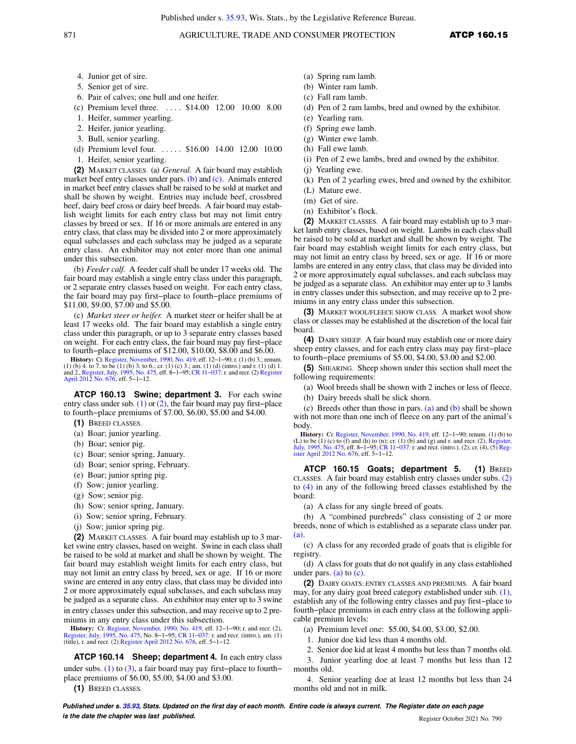- 4. Junior get of sire.
- 5. Senior get of sire.
- 6. Pair of calves; one bull and one heifer.
- (c) Premium level three. . . . . \$14.00 12.00 10.00 8.00
- 1. Heifer, summer yearling.
- 2. Heifer, junior yearling.
- 3. Bull, senior yearling.
- (d) Premium level four. ..... \$16.00 14.00 12.00 10.00
- 1. Heifer, senior yearling.

**(2)** MARKET CLASSES. (a) *General.* A fair board may establish market beef entry classes under pars. (b) and (c). Animals entered in market beef entry classes shall be raised to be sold at market and shall be shown by weight. Entries may include beef, crossbred beef, dairy beef cross or dairy beef breeds. A fair board may establish weight limits for each entry class but may not limit entry classes by breed or sex. If 16 or more animals are entered in any entry class, that class may be divided into 2 or more approximately equal subclasses and each subclass may be judged as a separate entry class. An exhibitor may not enter more than one animal under this subsection.

(b) *Feeder calf.* A feeder calf shall be under 17 weeks old. The fair board may establish a single entry class under this paragraph, or 2 separate entry classes based on weight. For each entry class, the fair board may pay first−place to fourth−place premiums of \$11.00, \$9.00, \$7.00 and \$5.00.

(c) *Market steer or heifer.* A market steer or heifer shall be at least 17 weeks old. The fair board may establish a single entry class under this paragraph, or up to 3 separate entry classes based on weight. For each entry class, the fair board may pay first−place to fourth−place premiums of \$12.00, \$10.00, \$8.00 and \$6.00.

**History:** Cr. Register, November, 1990, No. 419, eff. 12−1−90; r. (1) (b) 3.; renum. (1) (b) 4. to 7. to be (1) (b) 3. to 6.; cr. (1) (c) 3.; am. (1) (d) (intro.) and r. (1) (d) 1. and 2., Register, July, 1995, No. 475, eff. 8−1−95;CR 11−037: r. and recr. (2) Register April 2012 No. 676, eff. 5−1−12.

**ATCP 160.13 Swine; department 3.** For each swine entry class under sub. (1) or (2), the fair board may pay first−place to fourth−place premiums of \$7.00, \$6.00, \$5.00 and \$4.00.

- **(1)** BREED CLASSES.
- (a) Boar; junior yearling.
- (b) Boar; senior pig.
- (c) Boar; senior spring, January.
- (d) Boar; senior spring, February.
- (e) Boar; junior spring pig.
- (f) Sow; junior yearling.
- (g) Sow; senior pig.
- (h) Sow; senior spring, January.
- (i) Sow; senior spring, February.
- (j) Sow; junior spring pig.

**(2)** MARKET CLASSES. A fair board may establish up to 3 market swine entry classes, based on weight. Swine in each class shall be raised to be sold at market and shall be shown by weight.The fair board may establish weight limits for each entry class, but may not limit an entry class by breed, sex or age. If 16 or more swine are entered in any entry class, that class may be divided into 2 or more approximately equal subclasses, and each subclass may be judged as a separate class. An exhibitor may enter up to 3 swine in entry classes under this subsection, and may receive up to 2 premiums in any entry class under this subsection.

**History:** Cr. Register, November, 1990, No. 419, eff. 12−1−90; r. and recr. (2), Register, July, 1995, No. 475, No. 8−1−95; CR 11−037: r. and recr. (intro.), am. (1) (title), r. and recr. (2) Register April 2012 No. 676, eff. 5−1−12.

**ATCP 160.14 Sheep; department 4.** In each entry class under subs.  $(1)$  to  $(3)$ , a fair board may pay first–place to fourth– place premiums of \$6.00, \$5.00, \$4.00 and \$3.00.

**(1)** BREED CLASSES.

- (a) Spring ram lamb.
- (b) Winter ram lamb.
- (c) Fall ram lamb.
- (d) Pen of 2 ram lambs, bred and owned by the exhibitor.
- (e) Yearling ram.
- (f) Spring ewe lamb.
- (g) Winter ewe lamb.
- (h) Fall ewe lamb.
- (i) Pen of 2 ewe lambs, bred and owned by the exhibitor.
- (j) Yearling ewe.
- (k) Pen of 2 yearling ewes, bred and owned by the exhibitor.
- (L) Mature ewe.
- (m) Get of sire.
- (n) Exhibitor's flock.

**(2)** MARKET CLASSES. A fair board may establish up to 3 market lamb entry classes, based on weight. Lambs in each class shall be raised to be sold at market and shall be shown by weight.The fair board may establish weight limits for each entry class, but may not limit an entry class by breed, sex or age. If 16 or more lambs are entered in any entry class, that class may be divided into 2 or more approximately equal subclasses, and each subclass may be judged as a separate class. An exhibitor may enter up to 3 lambs in entry classes under this subsection, and may receive up to 2 premiums in any entry class under this subsection.

**(3)** MARKET WOOL/FLEECE SHOW CLASS. A market wool show class or classes may be established at the discretion of the local fair board.

**(4)** DAIRY SHEEP. A fair board may establish one or more dairy sheep entry classes, and for each entry class may pay first−place to fourth−place premiums of \$5.00, \$4.00, \$3.00 and \$2.00.

**(5)** SHEARING. Sheep shown under this section shall meet the following requirements:

- (a) Wool breeds shall be shown with 2 inches or less of fleece.
- (b) Dairy breeds shall be slick shorn.

(c) Breeds other than those in pars. (a) and (b) shall be shown with not more than one inch of fleece on any part of the animal's body.

**History:** Cr. Register, November, 1990, No. 419, eff. 12−1−90; renum. (1) (b) to (L) to be (1) (c) to (f) and (h) to (n); cr. (1) (b) and (g) and r. and recr. (2), Register, July, 1995, No. 475, eff. 8−1−95; CR 11−037: r. and recr. (intro.), (2), cr. (4), (5) Reg-ister April 2012 No. 676, eff. 5−1−12.

**ATCP 160.15 Goats; department 5. (1)** BREED CLASSES. A fair board may establish entry classes under subs. (2) to (4) in any of the following breed classes established by the board:

(a) A class for any single breed of goats.

(b) A "combined purebreds" class consisting of 2 or more breeds, none of which is established as a separate class under par. (a).

(c) A class for any recorded grade of goats that is eligible for registry.

(d) A class for goats that do not qualify in any class established under pars. (a) to  $(c)$ .

**(2)** DAIRY GOATS; ENTRY CLASSES AND PREMIUMS. A fair board may, for any dairy goat breed category established under sub. (1), establish any of the following entry classes and pay first−place to fourth−place premiums in each entry class at the following applicable premium levels:

(a) Premium level one: \$5.00, \$4.00, \$3.00, \$2.00.

1. Junior doe kid less than 4 months old.

2. Senior doe kid at least 4 months but less than 7 months old.

3. Junior yearling doe at least 7 months but less than 12 months old.

4. Senior yearling doe at least 12 months but less than 24 months old and not in milk.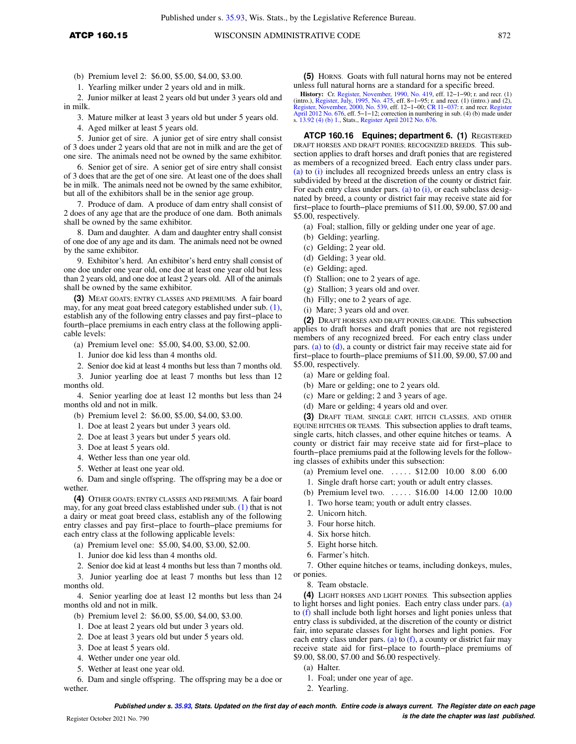(b) Premium level 2: \$6.00, \$5.00, \$4.00, \$3.00.

1. Yearling milker under 2 years old and in milk.

2. Junior milker at least 2 years old but under 3 years old and in milk.

3. Mature milker at least 3 years old but under 5 years old.

4. Aged milker at least 5 years old.

5. Junior get of sire. A junior get of sire entry shall consist of 3 does under 2 years old that are not in milk and are the get of one sire. The animals need not be owned by the same exhibitor.

6. Senior get of sire. A senior get of sire entry shall consist of 3 does that are the get of one sire. At least one of the does shall be in milk. The animals need not be owned by the same exhibitor, but all of the exhibitors shall be in the senior age group.

7. Produce of dam. A produce of dam entry shall consist of 2 does of any age that are the produce of one dam. Both animals shall be owned by the same exhibitor.

8. Dam and daughter. A dam and daughter entry shall consist of one doe of any age and its dam. The animals need not be owned by the same exhibitor.

9. Exhibitor's herd. An exhibitor's herd entry shall consist of one doe under one year old, one doe at least one year old but less than 2 years old, and one doe at least 2 years old. All of the animals shall be owned by the same exhibitor.

**(3)** MEAT GOATS; ENTRY CLASSES AND PREMIUMS. A fair board may, for any meat goat breed category established under sub. (1), establish any of the following entry classes and pay first−place to fourth−place premiums in each entry class at the following applicable levels:

(a) Premium level one: \$5.00, \$4.00, \$3.00, \$2.00.

1. Junior doe kid less than 4 months old.

2. Senior doe kid at least 4 months but less than 7 months old.

3. Junior yearling doe at least 7 months but less than 12 months old.

4. Senior yearling doe at least 12 months but less than 24 months old and not in milk.

(b) Premium level 2: \$6.00, \$5.00, \$4.00, \$3.00.

1. Doe at least 2 years but under 3 years old.

2. Doe at least 3 years but under 5 years old.

3. Doe at least 5 years old.

- 4. Wether less than one year old.
- 5. Wether at least one year old.

6. Dam and single offspring. The offspring may be a doe or wether.

**(4)** OTHER GOATS; ENTRY CLASSES AND PREMIUMS. A fair board may, for any goat breed class established under sub. (1) that is not a dairy or meat goat breed class, establish any of the following entry classes and pay first−place to fourth−place premiums for each entry class at the following applicable levels:

(a) Premium level one: \$5.00, \$4.00, \$3.00, \$2.00.

1. Junior doe kid less than 4 months old.

2. Senior doe kid at least 4 months but less than 7 months old.

3. Junior yearling doe at least 7 months but less than 12 months old.

4. Senior yearling doe at least 12 months but less than 24 months old and not in milk.

- (b) Premium level 2: \$6.00, \$5.00, \$4.00, \$3.00.
- 1. Doe at least 2 years old but under 3 years old.

2. Doe at least 3 years old but under 5 years old.

3. Doe at least 5 years old.

- 4. Wether under one year old.
- 5. Wether at least one year old.

6. Dam and single offspring. The offspring may be a doe or wether.

**(5)** HORNS. Goats with full natural horns may not be entered unless full natural horns are a standard for a specific breed.

**History:** Cr. Register, November, 1990, No. 419, eff. 12–1–90; r. and recr. (1) (intro.), Register, July, 1995, No. 475, eff. 8–1–95; r. and f. (2) finetor. (1) finetor, and (2), and (2), and recr. (1) (intro.) and (2), f April 2012 No. 676, eff. 5−1−12; correction in numbering in sub. (4) (b) made under s. 13.92 (4) (b) 1., Stats., Register April 2012 No. 676.

**ATCP 160.16 Equines; department 6. (1)** REGISTERED DRAFT HORSES AND DRAFT PONIES; RECOGNIZED BREEDS. This subsection applies to draft horses and draft ponies that are registered as members of a recognized breed. Each entry class under pars. (a) to (i) includes all recognized breeds unless an entry class is subdivided by breed at the discretion of the county or district fair. For each entry class under pars. (a) to  $(i)$ , or each subclass designated by breed, a county or district fair may receive state aid for first−place to fourth−place premiums of \$11.00, \$9.00, \$7.00 and \$5.00, respectively.

- (a) Foal; stallion, filly or gelding under one year of age.
- (b) Gelding; yearling.
- (c) Gelding; 2 year old.
- (d) Gelding; 3 year old.
- (e) Gelding; aged.
- (f) Stallion; one to 2 years of age.
- (g) Stallion; 3 years old and over.
- (h) Filly; one to 2 years of age.
- (i) Mare; 3 years old and over.

**(2)** DRAFT HORSES AND DRAFT PONIES; GRADE. This subsection applies to draft horses and draft ponies that are not registered members of any recognized breed. For each entry class under pars. (a) to (d), a county or district fair may receive state aid for first−place to fourth−place premiums of \$11.00, \$9.00, \$7.00 and \$5.00, respectively.

- (a) Mare or gelding foal.
- (b) Mare or gelding; one to 2 years old.
- (c) Mare or gelding; 2 and 3 years of age.
- (d) Mare or gelding; 4 years old and over.

**(3)** DRAFT TEAM, SINGLE CART, HITCH CLASSES, AND OTHER EQUINE HITCHES OR TEAMS. This subsection applies to draft teams, single carts, hitch classes, and other equine hitches or teams. A county or district fair may receive state aid for first−place to fourth−place premiums paid at the following levels for the following classes of exhibits under this subsection:

- (a) Premium level one. . . . . . \$12.00 10.00 8.00 6.00
- 1. Single draft horse cart; youth or adult entry classes.
- (b) Premium level two. . . . . . \$16.00 14.00 12.00 10.00
- 1. Two horse team; youth or adult entry classes.
- 2. Unicorn hitch.
- 3. Four horse hitch.
- 4. Six horse hitch.
- 5. Eight horse hitch.
- 6. Farmer's hitch.

7. Other equine hitches or teams, including donkeys, mules, or ponies.

8. Team obstacle.

**(4)** LIGHT HORSES AND LIGHT PONIES. This subsection applies to light horses and light ponies. Each entry class under pars. (a) to (f) shall include both light horses and light ponies unless that entry class is subdivided, at the discretion of the county or district fair, into separate classes for light horses and light ponies. For each entry class under pars. (a) to  $(f)$ , a county or district fair may receive state aid for first−place to fourth−place premiums of \$9.00, \$8.00, \$7.00 and \$6.00 respectively.

(a) Halter.

- 1. Foal; under one year of age.
- 2. Yearling.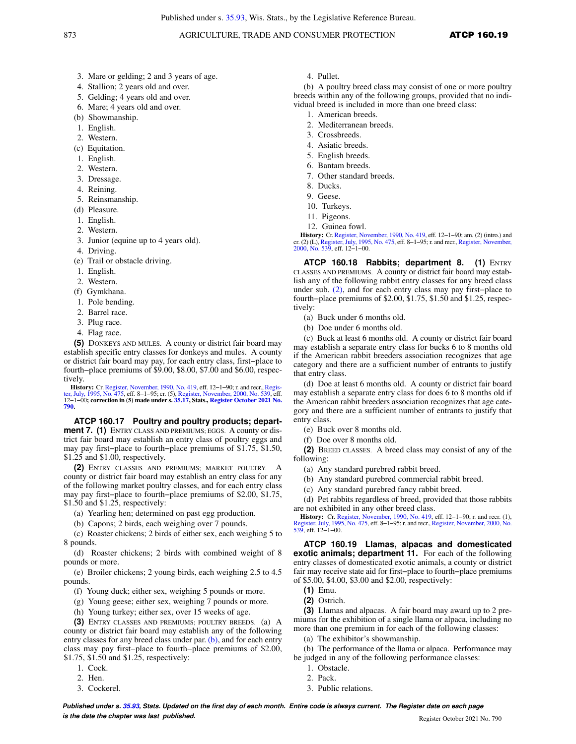## 873 **AGRICULTURE, TRADE AND CONSUMER PROTECTION ATCP 160.19**

- 3. Mare or gelding; 2 and 3 years of age.
- 4. Stallion; 2 years old and over.
- 5. Gelding; 4 years old and over.
- 6. Mare; 4 years old and over.
- (b) Showmanship.
- 1. English.
- 2. Western.
- (c) Equitation.
- 1. English.
- 2. Western.
- 3. Dressage.
- 4. Reining.
- 5. Reinsmanship.
- (d) Pleasure.
- 1. English.
- 2. Western.
- 3. Junior (equine up to 4 years old).
- 4. Driving.
- (e) Trail or obstacle driving.
- 1. English.
- 2. Western.
- (f) Gymkhana.
- 1. Pole bending.
- 2. Barrel race.
- 3. Plug race.
- 4. Flag race.

**(5)** DONKEYS AND MULES. A county or district fair board may establish specific entry classes for donkeys and mules. A county or district fair board may pay, for each entry class, first−place to fourth−place premiums of \$9.00, \$8.00, \$7.00 and \$6.00, respectively.

**History:** Cr. Register, November, 1990, No. 419, eff. 12–1–90; r. and recr., Register, July, 1995, No. 475, eff. 8–1–95; cr. (5), Register, November, 2000, No. 539, eff.<br>ter, July, 1995, No. 475, eff. 8–1–95; cr. (5), Reg **790.**

**ATCP 160.17 Poultry and poultry products; department 7. (1)** ENTRY CLASS AND PREMIUMS; EGGS. A county or district fair board may establish an entry class of poultry eggs and may pay first−place to fourth−place premiums of \$1.75, \$1.50, \$1.25 and \$1.00, respectively.

**(2)** ENTRY CLASSES AND PREMIUMS; MARKET POULTRY. A county or district fair board may establish an entry class for any of the following market poultry classes, and for each entry class may pay first−place to fourth−place premiums of \$2.00, \$1.75, \$1.50 and \$1.25, respectively:

- (a) Yearling hen; determined on past egg production.
- (b) Capons; 2 birds, each weighing over 7 pounds.

(c) Roaster chickens; 2 birds of either sex, each weighing 5 to 8 pounds.

(d) Roaster chickens; 2 birds with combined weight of 8 pounds or more.

(e) Broiler chickens; 2 young birds, each weighing 2.5 to 4.5 pounds.

- (f) Young duck; either sex, weighing 5 pounds or more.
- (g) Young geese; either sex, weighing 7 pounds or more.
- (h) Young turkey; either sex, over 15 weeks of age.

**(3)** ENTRY CLASSES AND PREMIUMS; POULTRY BREEDS. (a) A county or district fair board may establish any of the following entry classes for any breed class under par. (b), and for each entry class may pay first−place to fourth−place premiums of \$2.00, \$1.75, \$1.50 and \$1.25, respectively:

- 1. Cock.
- 2. Hen.
- 3. Cockerel.

4. Pullet.

(b) A poultry breed class may consist of one or more poultry breeds within any of the following groups, provided that no individual breed is included in more than one breed class:

- 1. American breeds.
- 2. Mediterranean breeds.
- 3. Crossbreeds.
- 4. Asiatic breeds.
- 5. English breeds.
- 6. Bantam breeds.
- 7. Other standard breeds.
- 8. Ducks.
- 9. Geese.
- 10. Turkeys.
- 11. Pigeons.
- 12. Guinea fowl.

**History:** Cr. Register, November, 1990, No. 419, eff. 12−1−90; am. (2) (intro.) and cr. (2) (L), Register, July, 1995, No. 475, eff. 8−1−95; r. and recr., Register, November, 2000, No. 539, eff. 12−1−00.

**ATCP 160.18 Rabbits; department 8. (1)** ENTRY CLASSES AND PREMIUMS. A county or district fair board may establish any of the following rabbit entry classes for any breed class under sub. (2), and for each entry class may pay first−place to fourth−place premiums of \$2.00, \$1.75, \$1.50 and \$1.25, respectively:

- (a) Buck under 6 months old.
- (b) Doe under 6 months old.

(c) Buck at least 6 months old. A county or district fair board may establish a separate entry class for bucks 6 to 8 months old if the American rabbit breeders association recognizes that age category and there are a sufficient number of entrants to justify that entry class.

(d) Doe at least 6 months old. A county or district fair board may establish a separate entry class for does 6 to 8 months old if the American rabbit breeders association recognizes that age category and there are a sufficient number of entrants to justify that entry class.

- (e) Buck over 8 months old.
- (f) Doe over 8 months old.

**(2)** BREED CLASSES. A breed class may consist of any of the following:

- (a) Any standard purebred rabbit breed.
- (b) Any standard purebred commercial rabbit breed.
- (c) Any standard purebred fancy rabbit breed.

(d) Pet rabbits regardless of breed, provided that those rabbits are not exhibited in any other breed class.

**History:** Cr. Register, November, 1990, No. 419, eff. 12−1−90; r. and recr. (1), Register, July, 1995, No. 475, eff. 8−1−95; r. and recr., Register, November, 2000, No. 539, eff. 12−1−00.

**ATCP 160.19 Llamas, alpacas and domesticated exotic animals; department 11.** For each of the following entry classes of domesticated exotic animals, a county or district fair may receive state aid for first−place to fourth−place premiums of \$5.00, \$4.00, \$3.00 and \$2.00, respectively:

- **(1)** Emu.
- **(2)** Ostrich.

**(3)** Llamas and alpacas. A fair board may award up to 2 premiums for the exhibition of a single llama or alpaca, including no more than one premium in for each of the following classes:

(a) The exhibitor's showmanship.

(b) The performance of the llama or alpaca. Performance may be judged in any of the following performance classes:

- 1. Obstacle.
- 2. Pack.
- 3. Public relations.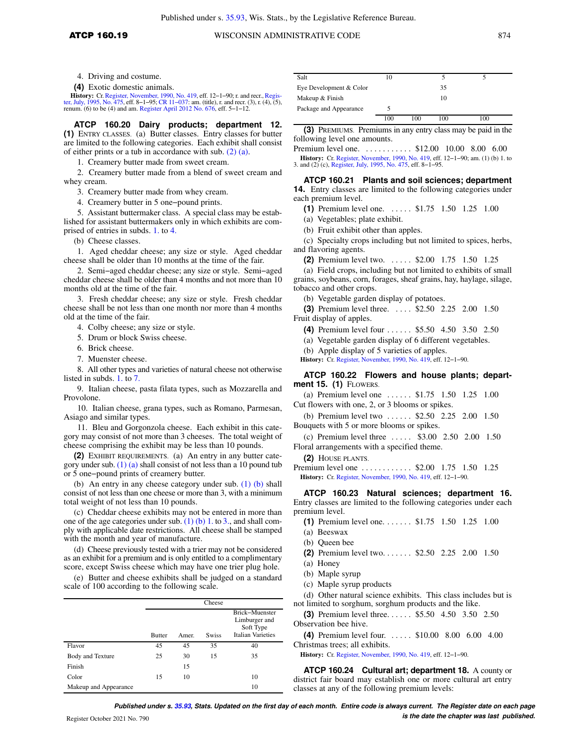**(4)** Exotic domestic animals.

**History:** Cr. Register, November, 1990, No. 419, eff. 12–1–90; r. and recr., Register, July, 1995, No. 475, eff. 8–1–95; CR 11–037: am. (title), r. and recr. (3), r. (4), (5), renum. (6) to be (4) and am. Register April 2012 No. 676, eff. 5−1−12.

**ATCP 160.20 Dairy products; department 12. (1)** ENTRY CLASSES. (a) Butter classes. Entry classes for butter are limited to the following categories. Each exhibit shall consist of either prints or a tub in accordance with sub. (2) (a).

1. Creamery butter made from sweet cream.

2. Creamery butter made from a blend of sweet cream and whey cream.

3. Creamery butter made from whey cream.

4. Creamery butter in 5 one−pound prints.

5. Assistant buttermaker class. A special class may be established for assistant buttermakers only in which exhibits are comprised of entries in subds. 1. to 4.

(b) Cheese classes.

1. Aged cheddar cheese; any size or style. Aged cheddar cheese shall be older than 10 months at the time of the fair.

2. Semi−aged cheddar cheese; any size or style. Semi−aged cheddar cheese shall be older than 4 months and not more than 10 months old at the time of the fair.

3. Fresh cheddar cheese; any size or style. Fresh cheddar cheese shall be not less than one month nor more than 4 months old at the time of the fair.

4. Colby cheese; any size or style.

5. Drum or block Swiss cheese.

6. Brick cheese.

7. Muenster cheese.

8. All other types and varieties of natural cheese not otherwise listed in subds. 1. to 7.

9. Italian cheese, pasta filata types, such as Mozzarella and Provolone.

10. Italian cheese, grana types, such as Romano, Parmesan, Asiago and similar types.

11. Bleu and Gorgonzola cheese. Each exhibit in this category may consist of not more than 3 cheeses. The total weight of cheese comprising the exhibit may be less than 10 pounds.

**(2)** EXHIBIT REQUIREMENTS. (a) An entry in any butter category under sub.  $(1)$  (a) shall consist of not less than a 10 pound tub or 5 one−pound prints of creamery butter.

(b) An entry in any cheese category under sub. (1) (b) shall consist of not less than one cheese or more than 3, with a minimum total weight of not less than 10 pounds.

(c) Cheddar cheese exhibits may not be entered in more than one of the age categories under sub. (1) (b) 1. to 3., and shall comply with applicable date restrictions. All cheese shall be stamped with the month and year of manufacture.

(d) Cheese previously tested with a trier may not be considered as an exhibit for a premium and is only entitled to a complimentary score, except Swiss cheese which may have one trier plug hole.

(e) Butter and cheese exhibits shall be judged on a standard scale of 100 according to the following scale.

|                         |               |       | Cheese       |                                                                          |
|-------------------------|---------------|-------|--------------|--------------------------------------------------------------------------|
|                         | <b>Butter</b> | Amer. | <b>Swiss</b> | Brick-Muenster<br>Limburger and<br>Soft Type<br><b>Italian Varieties</b> |
| Flavor                  | 45            | 45    | 35           | 40                                                                       |
| <b>Body and Texture</b> | 25            | 30    | 15           | 35                                                                       |
| Finish                  |               | 15    |              |                                                                          |
| Color                   | 15            | 10    |              | 10                                                                       |
| Makeup and Appearance   |               |       |              | 10                                                                       |

| Salt                    | 10  |     |     |     |
|-------------------------|-----|-----|-----|-----|
| Eye Development & Color |     |     | 35  |     |
| Makeup & Finish         |     |     | 10  |     |
| Package and Appearance  |     |     |     |     |
|                         | 100 | 100 | 100 | 100 |

**(3)** PREMIUMS. Premiums in any entry class may be paid in the following level one amounts.

Premium level one. . . . . . . . . . \$12.00 10.00 8.00 6.00

**History:** Cr. Register, November, 1990, No. 419, eff. 12−1−90; am. (1) (b) 1. to 3. and (2) (c), Register, July, 1995, No. 475, eff. 8−1−95.

**ATCP 160.21 Plants and soil sciences; department 14.** Entry classes are limited to the following categories under each premium level.

**(1)** Premium level one. . . . . . \$1.75 1.50 1.25 1.00

(a) Vegetables; plate exhibit.

(b) Fruit exhibit other than apples.

(c) Specialty crops including but not limited to spices, herbs, and flavoring agents.

**(2)** Premium level two. . . . . . \$2.00 1.75 1.50 1.25

(a) Field crops, including but not limited to exhibits of small grains, soybeans, corn, forages, sheaf grains, hay, haylage, silage, tobacco and other crops.

(b) Vegetable garden display of potatoes.

**(3)** Premium level three. . . . . \$2.50 2.25 2.00 1.50 Fruit display of apples.

- **(4)** Premium level four . . . . . . \$5.50 4.50 3.50 2.50
- (a) Vegetable garden display of 6 different vegetables.

(b) Apple display of 5 varieties of apples.

**History:** Cr. Register, November, 1990, No. 419, eff. 12−1−90.

**ATCP 160.22 Flowers and house plants; department 15. (1)** FLOWERS.

(a) Premium level one . . . . . . \$1.75 1.50 1.25 1.00 Cut flowers with one, 2, or 3 blooms or spikes.

(b) Premium level two ...... \$2.50 2.25 2.00 1.50 Bouquets with 5 or more blooms or spikes.

(c) Premium level three . . . . . \$3.00 2.50 2.00 1.50 Floral arrangements with a specified theme.

**(2)** HOUSE PLANTS.

Premium level one ........... \$2.00 1.75 1.50 1.25 **History:** Cr. Register, November, 1990, No. 419, eff. 12−1−90.

**ATCP 160.23 Natural sciences; department 16.** Entry classes are limited to the following categories under each premium level.

- **(1)** Premium level one. . . . . . . \$1.75 1.50 1.25 1.00
- (a) Beeswax
- (b) Queen bee
- **(2)** Premium level two. . . . . . . \$2.50 2.25 2.00 1.50
- (a) Honey
- (b) Maple syrup
- (c) Maple syrup products

(d) Other natural science exhibits. This class includes but is not limited to sorghum, sorghum products and the like.

**(3)** Premium level three. . . . . . \$5.50 4.50 3.50 2.50 Observation bee hive.

**(4)** Premium level four. . . . . . \$10.00 8.00 6.00 4.00 Christmas trees; all exhibits.

**History:** Cr. Register, November, 1990, No. 419, eff. 12−1−90.

**ATCP 160.24 Cultural art; department 18.** A county or district fair board may establish one or more cultural art entry classes at any of the following premium levels:

**Published under s. 35.93, Stats. Updated on the first day of each month. Entire code is always current. The Register date on each page is the date the chapter was last published. is the date the chapter was last published.**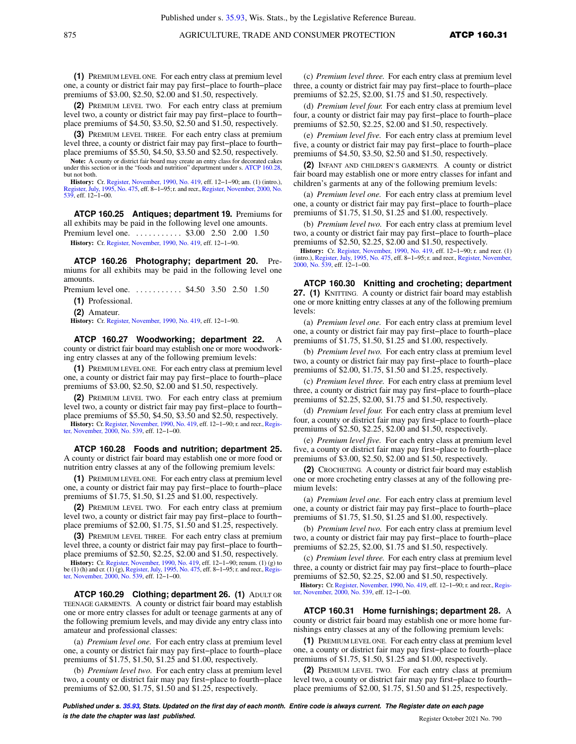**(1)** PREMIUM LEVEL ONE. For each entry class at premium level one, a county or district fair may pay first−place to fourth−place premiums of \$3.00, \$2.50, \$2.00 and \$1.50, respectively.

**(2)** PREMIUM LEVEL TWO. For each entry class at premium level two, a county or district fair may pay first−place to fourth− place premiums of \$4.50, \$3.50, \$2.50 and \$1.50, respectively.

**(3)** PREMIUM LEVEL THREE. For each entry class at premium level three, a county or district fair may pay first−place to fourth− place premiums of \$5.50, \$4.50, \$3.50 and \$2.50, respectively.

**Note:** A county or district fair board may create an entry class for decorated cakes under this section or in the "foods and nutrition" department under s. ATCP 160.28, but not both.

**History:** Cr. Register, November, 1990, No. 419, eff. 12−1−90; am. (1) (intro.), Register, July, 1995, No. 475, eff. 8−1−95;r. and recr., Register, November, 2000, No. 539, eff. 12−1−00.

**ATCP 160.25 Antiques; department 19.** Premiums for all exhibits may be paid in the following level one amounts.

Premium level one. . . . . . . . . . . \$3.00 2.50 2.00 1.50 **History:** Cr. Register, November, 1990, No. 419, eff. 12−1−90.

**ATCP 160.26 Photography; department 20.** Premiums for all exhibits may be paid in the following level one amounts.

Premium level one. . . . . . . . . . . \$4.50 3.50 2.50 1.50

**(1)** Professional.

**(2)** Amateur.

**History:** Cr. Register, November, 1990, No. 419, eff. 12−1−90.

**ATCP 160.27 Woodworking; department 22.** A county or district fair board may establish one or more woodworking entry classes at any of the following premium levels:

**(1)** PREMIUM LEVEL ONE. For each entry class at premium level one, a county or district fair may pay first−place to fourth−place premiums of \$3.00, \$2.50, \$2.00 and \$1.50, respectively.

**(2)** PREMIUM LEVEL TWO. For each entry class at premium level two, a county or district fair may pay first−place to fourth− place premiums of \$5.50, \$4.50, \$3.50 and \$2.50, respectively.

**History:** Cr. Register, November, 1990, No. 419, eff. 12−1−90; r. and recr.,Register, November, 2000, No. 539, eff. 12−1−00.

**ATCP 160.28 Foods and nutrition; department 25.** A county or district fair board may establish one or more food or nutrition entry classes at any of the following premium levels:

**(1)** PREMIUM LEVEL ONE. For each entry class at premium level one, a county or district fair may pay first−place to fourth−place premiums of \$1.75, \$1.50, \$1.25 and \$1.00, respectively.

**(2)** PREMIUM LEVEL TWO. For each entry class at premium level two, a county or district fair may pay first−place to fourth− place premiums of \$2.00, \$1.75, \$1.50 and \$1.25, respectively.

**(3)** PREMIUM LEVEL THREE. For each entry class at premium level three, a county or district fair may pay first−place to fourth− place premiums of \$2.50, \$2.25, \$2.00 and \$1.50, respectively.

**History:** Cr. Register, November, 1990, No. 419, eff. 12–1–90; renum. (1) (g) to be (1) (h) and cr. (1) (g), Register, July, 1995, No. 475, eff. 8–1–95; r. and recr., Register, November, 2000, No. 539, eff. 12–1–00.

**ATCP 160.29 Clothing; department 26. (1)** ADULT OR TEENAGE GARMENTS. A county or district fair board may establish one or more entry classes for adult or teenage garments at any of the following premium levels, and may divide any entry class into amateur and professional classes:

(a) *Premium level one.* For each entry class at premium level one, a county or district fair may pay first−place to fourth−place premiums of \$1.75, \$1.50, \$1.25 and \$1.00, respectively.

(b) *Premium level two.* For each entry class at premium level two, a county or district fair may pay first−place to fourth−place premiums of \$2.00, \$1.75, \$1.50 and \$1.25, respectively.

(c) *Premium level three.* For each entry class at premium level three, a county or district fair may pay first−place to fourth−place premiums of \$2.25, \$2.00, \$1.75 and \$1.50, respectively.

(d) *Premium level four.* For each entry class at premium level four, a county or district fair may pay first−place to fourth−place premiums of \$2.50, \$2.25, \$2.00 and \$1.50, respectively.

(e) *Premium level five.* For each entry class at premium level five, a county or district fair may pay first−place to fourth−place premiums of \$4.50, \$3.50, \$2.50 and \$1.50, respectively.

**(2)** INFANT AND CHILDREN'S GARMENTS. A county or district fair board may establish one or more entry classes for infant and children's garments at any of the following premium levels:

(a) *Premium level one.* For each entry class at premium level one, a county or district fair may pay first−place to fourth−place premiums of \$1.75, \$1.50, \$1.25 and \$1.00, respectively.

(b) *Premium level two.* For each entry class at premium level two, a county or district fair may pay first−place to fourth−place premiums of \$2.50, \$2.25, \$2.00 and \$1.50, respectively.

**History:** Cr. Register, November, 1990, No. 419, eff. 12−1−90; r. and recr. (1) (intro.), Register, July, 1995, No. 475, eff. 8−1−95; r. and recr., Register, November, 2000, No. 539, eff. 12−1−00.

**ATCP 160.30 Knitting and crocheting; department 27. (1)** KNITTING. A county or district fair board may establish one or more knitting entry classes at any of the following premium levels:

(a) *Premium level one.* For each entry class at premium level one, a county or district fair may pay first−place to fourth−place premiums of \$1.75, \$1.50, \$1.25 and \$1.00, respectively.

(b) *Premium level two.* For each entry class at premium level two, a county or district fair may pay first−place to fourth−place premiums of \$2.00, \$1.75, \$1.50 and \$1.25, respectively.

(c) *Premium level three.* For each entry class at premium level three, a county or district fair may pay first−place to fourth−place premiums of \$2.25, \$2.00, \$1.75 and \$1.50, respectively.

(d) *Premium level four.* For each entry class at premium level four, a county or district fair may pay first−place to fourth−place premiums of \$2.50, \$2.25, \$2.00 and \$1.50, respectively.

(e) *Premium level five.* For each entry class at premium level five, a county or district fair may pay first−place to fourth−place premiums of \$3.00, \$2.50, \$2.00 and \$1.50, respectively.

**(2)** CROCHETING. A county or district fair board may establish one or more crocheting entry classes at any of the following premium levels:

(a) *Premium level one.* For each entry class at premium level one, a county or district fair may pay first−place to fourth−place premiums of \$1.75, \$1.50, \$1.25 and \$1.00, respectively.

(b) *Premium level two.* For each entry class at premium level two, a county or district fair may pay first−place to fourth−place premiums of \$2.25, \$2.00, \$1.75 and \$1.50, respectively.

(c) *Premium level three.* For each entry class at premium level three, a county or district fair may pay first−place to fourth−place premiums of \$2.50, \$2.25, \$2.00 and \$1.50, respectively.

History: Cr. Register, November, 1990, No. 419, eff. 12-1-90; r. and recr., Register, November, 2000, No. 539, eff. 12−1−00.

**ATCP 160.31 Home furnishings; department 28.** A county or district fair board may establish one or more home furnishings entry classes at any of the following premium levels:

**(1)** PREMIUM LEVEL ONE. For each entry class at premium level one, a county or district fair may pay first−place to fourth−place premiums of \$1.75, \$1.50, \$1.25 and \$1.00, respectively.

**(2)** PREMIUM LEVEL TWO. For each entry class at premium level two, a county or district fair may pay first−place to fourth− place premiums of \$2.00, \$1.75, \$1.50 and \$1.25, respectively.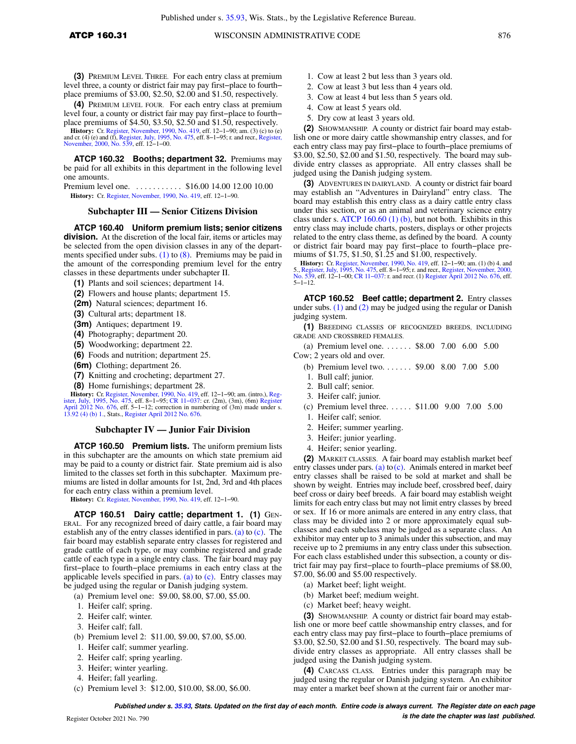**(4)** PREMIUM LEVEL FOUR. For each entry class at premium level four, a county or district fair may pay first−place to fourth− place premiums of \$4.50, \$3.50, \$2.50 and \$1.50, respectively.

**History:** Cr. Register, November, 1990, No. 419, eff. 12–1–90; am. (3) (c) to (e) and cr. (4) (e) and (f), Register, July, 1995, No. 475, eff. 8–1–95; r. and recr., Register, November, 2000, No. 539, eff. 12−1−00.

**ATCP 160.32 Booths; department 32.** Premiums may be paid for all exhibits in this department in the following level one amounts.

Premium level one. . . . . . . . . . . . \$16.00 14.00 12.00 10.00 **History:** Cr. Register, November, 1990, No. 419, eff. 12−1−90.

## **Subchapter III — Senior Citizens Division**

**ATCP 160.40 Uniform premium lists; senior citizens division.** At the discretion of the local fair, items or articles may be selected from the open division classes in any of the departments specified under subs.  $(1)$  to  $(8)$ . Premiums may be paid in the amount of the corresponding premium level for the entry classes in these departments under subchapter II.

**(1)** Plants and soil sciences; department 14.

**(2)** Flowers and house plants; department 15.

- **(2m)** Natural sciences; department 16.
- **(3)** Cultural arts; department 18.
- **(3m)** Antiques; department 19.
- **(4)** Photography; department 20.
- **(5)** Woodworking; department 22.
- **(6)** Foods and nutrition; department 25.
- **(6m)** Clothing; department 26.
- **(7)** Knitting and crocheting; department 27.
- **(8)** Home furnishings; department 28.

**History:** Cr. Register, November, 1990, No. 419, eff. 12–1–90; am. (intro.), Register, July, 1995, No. 475, eff. 8–1–95; CR. 11–037: cr. (2m), (3m), (6m) Register<br>ister, July, 1995, No. 475, eff. 8–1–12; correction in num 13.92 (4) (b) 1., Stats., Register April 2012 No. 676.

#### **Subchapter IV — Junior Fair Division**

**ATCP 160.50 Premium lists.** The uniform premium lists in this subchapter are the amounts on which state premium aid may be paid to a county or district fair. State premium aid is also limited to the classes set forth in this subchapter. Maximum premiums are listed in dollar amounts for 1st, 2nd, 3rd and 4th places for each entry class within a premium level.

**History:** Cr. Register, November, 1990, No. 419, eff. 12−1−90.

**ATCP 160.51 Dairy cattle; department 1. (1)** GEN-ERAL. For any recognized breed of dairy cattle, a fair board may establish any of the entry classes identified in pars. (a) to  $(c)$ . The fair board may establish separate entry classes for registered and grade cattle of each type, or may combine registered and grade cattle of each type in a single entry class. The fair board may pay first−place to fourth−place premiums in each entry class at the applicable levels specified in pars.  $(a)$  to  $(c)$ . Entry classes may be judged using the regular or Danish judging system.

- (a) Premium level one: \$9.00, \$8.00, \$7.00, \$5.00.
- 1. Heifer calf; spring.
- 2. Heifer calf; winter.
- 3. Heifer calf; fall.
- (b) Premium level 2: \$11.00, \$9.00, \$7.00, \$5.00.
- 1. Heifer calf; summer yearling.
- 2. Heifer calf; spring yearling.
- 3. Heifer; winter yearling.
- 4. Heifer; fall yearling.
- (c) Premium level 3: \$12.00, \$10.00, \$8.00, \$6.00.
- 1. Cow at least 2 but less than 3 years old.
- 2. Cow at least 3 but less than 4 years old.
- 3. Cow at least 4 but less than 5 years old.
- 4. Cow at least 5 years old.
- 5. Dry cow at least 3 years old.

**(2)** SHOWMANSHIP. A county or district fair board may establish one or more dairy cattle showmanship entry classes, and for each entry class may pay first−place to fourth−place premiums of \$3.00, \$2.50, \$2.00 and \$1.50, respectively. The board may subdivide entry classes as appropriate. All entry classes shall be judged using the Danish judging system.

**(3)** ADVENTURES IN DAIRYLAND. A county or district fair board may establish an "Adventures in Dairyland" entry class. The board may establish this entry class as a dairy cattle entry class under this section, or as an animal and veterinary science entry class under s. ATCP 160.60 (1) (b), but not both. Exhibits in this entry class may include charts, posters, displays or other projects related to the entry class theme, as defined by the board. A county or district fair board may pay first−place to fourth−place premiums of \$1.75, \$1.50, \$1.25 and \$1.00, respectively.

**History:** Cr. Register, November, 1990, No. 419, eff. 12–1–90; am. (1) (b) 4. and<br>5., Register, July, 1995, No. 475, eff. 8–1–95; r. and recr., Register, November, 2000,<br>No. 539, eff. 12–1–00; CR 11–037: r. and recr. (1) 5−1−12.

**ATCP 160.52 Beef cattle; department 2.** Entry classes under subs. (1) and (2) may be judged using the regular or Danish judging system.

**(1)** BREEDING CLASSES OF RECOGNIZED BREEDS, INCLUDING GRADE AND CROSSBRED FEMALES.

(a) Premium level one. . . . . . . \$8.00 7.00 6.00 5.00

Cow; 2 years old and over.

- (b) Premium level two. . . . . . . \$9.00 8.00 7.00 5.00
- 1. Bull calf; junior.
- 2. Bull calf; senior.
- 3. Heifer calf; junior.
- (c) Premium level three. . . . . . \$11.00 9.00 7.00 5.00
- 1. Heifer calf; senior.
- 2. Heifer; summer yearling.
- 3. Heifer; junior yearling.
- 4. Heifer; senior yearling.

**(2)** MARKET CLASSES. A fair board may establish market beef entry classes under pars. (a) to  $(c)$ . Animals entered in market beef entry classes shall be raised to be sold at market and shall be shown by weight. Entries may include beef, crossbred beef, dairy beef cross or dairy beef breeds. A fair board may establish weight limits for each entry class but may not limit entry classes by breed or sex. If 16 or more animals are entered in any entry class, that class may be divided into 2 or more approximately equal subclasses and each subclass may be judged as a separate class. An exhibitor may enter up to 3 animals under this subsection, and may receive up to 2 premiums in any entry class under this subsection. For each class established under this subsection, a county or district fair may pay first−place to fourth−place premiums of \$8.00, \$7.00, \$6.00 and \$5.00 respectively.

- (a) Market beef; light weight.
- (b) Market beef; medium weight.
- (c) Market beef; heavy weight.

**(3)** SHOWMANSHIP. A county or district fair board may establish one or more beef cattle showmanship entry classes, and for each entry class may pay first−place to fourth−place premiums of \$3.00, \$2.50, \$2.00 and \$1.50, respectively. The board may subdivide entry classes as appropriate. All entry classes shall be judged using the Danish judging system.

**(4)** CARCASS CLASS*.* Entries under this paragraph may be judged using the regular or Danish judging system. An exhibitor may enter a market beef shown at the current fair or another mar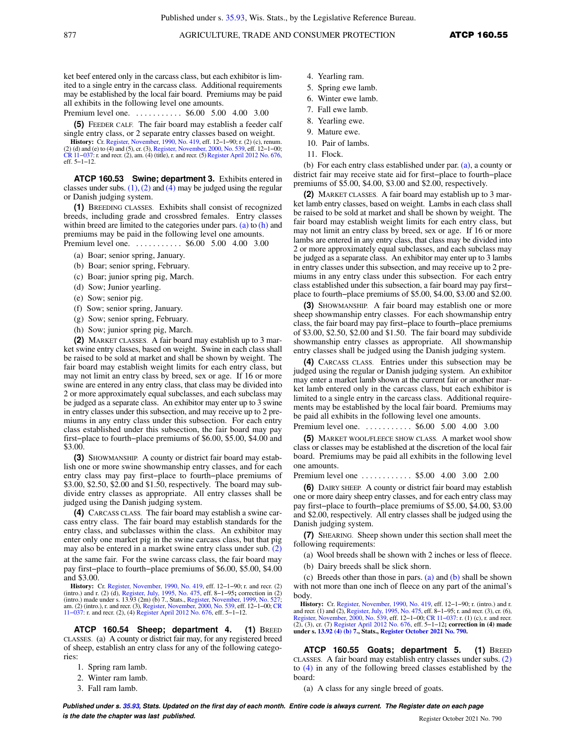ket beef entered only in the carcass class, but each exhibitor is limited to a single entry in the carcass class. Additional requirements may be established by the local fair board. Premiums may be paid all exhibits in the following level one amounts.

Premium level one. . . . . . . . . . . \$6.00 5.00 4.00 3.00

**(5)** FEEDER CALF. The fair board may establish a feeder calf single entry class, or 2 separate entry classes based on weight.

**History:** Cr. Register, November, 1990, No. 419, eff. 12–1–90; r. (2) (c), renum. (2) (d) and (e) to (4) and (5), cr. (3), Register, November, 2000, No. 539, eff. 12–1–00; CR 11−037: r. and recr. (2), am. (4) (title), r. and recr. (5) Register April 2012 No. 676, eff. 5−1−12.

**ATCP 160.53 Swine; department 3.** Exhibits entered in classes under subs.  $(1)$ ,  $(2)$  and  $(4)$  may be judged using the regular or Danish judging system.

**(1)** BREEDING CLASSES. Exhibits shall consist of recognized breeds, including grade and crossbred females. Entry classes within breed are limited to the categories under pars. (a) to (h) and premiums may be paid in the following level one amounts. Premium level one. . . . . . . . . . . \$6.00 5.00 4.00 3.00

- (a) Boar; senior spring, January.
- (b) Boar; senior spring, February.
- 
- (c) Boar; junior spring pig, March.
- (d) Sow; Junior yearling.
- (e) Sow; senior pig.
- (f) Sow; senior spring, January.
- (g) Sow; senior spring, February.
- (h) Sow; junior spring pig, March.

**(2)** MARKET CLASSES. A fair board may establish up to 3 market swine entry classes, based on weight. Swine in each class shall be raised to be sold at market and shall be shown by weight.The fair board may establish weight limits for each entry class, but may not limit an entry class by breed, sex or age. If 16 or more swine are entered in any entry class, that class may be divided into 2 or more approximately equal subclasses, and each subclass may be judged as a separate class. An exhibitor may enter up to 3 swine in entry classes under this subsection, and may receive up to 2 premiums in any entry class under this subsection. For each entry class established under this subsection, the fair board may pay first−place to fourth−place premiums of \$6.00, \$5.00, \$4.00 and \$3.00.

**(3)** SHOWMANSHIP. A county or district fair board may establish one or more swine showmanship entry classes, and for each entry class may pay first−place to fourth−place premiums of \$3.00, \$2.50, \$2.00 and \$1.50, respectively. The board may subdivide entry classes as appropriate. All entry classes shall be judged using the Danish judging system.

**(4)** CARCASS CLASS. The fair board may establish a swine carcass entry class. The fair board may establish standards for the entry class, and subclasses within the class. An exhibitor may enter only one market pig in the swine carcass class, but that pig may also be entered in a market swine entry class under sub. (2) at the same fair. For the swine carcass class, the fair board may pay first−place to fourth−place premiums of \$6.00, \$5.00, \$4.00 and \$3.00.

**History:** Cr. Register, November, 1990, No. 419, eff. 12–1–90; r. and recr. (2) (intro.) and r. (2) (d), Register, July, 1995, No. 475, eff. 8–1–95; correction in (2) (intro.) made under s. 13.93 (2m) (b) 7., Stats., Reg

**ATCP 160.54 Sheep; department 4. (1)** BREED CLASSES. (a) A county or district fair may, for any registered breed of sheep, establish an entry class for any of the following categories:

- 1. Spring ram lamb.
- 2. Winter ram lamb.
- 3. Fall ram lamb.
- 4. Yearling ram.
- 5. Spring ewe lamb.
- 6. Winter ewe lamb.
- 7. Fall ewe lamb.
- 8. Yearling ewe.
- 9. Mature ewe.
- 10. Pair of lambs.
- 11. Flock.

(b) For each entry class established under par. (a), a county or district fair may receive state aid for first−place to fourth−place premiums of \$5.00, \$4.00, \$3.00 and \$2.00, respectively.

**(2)** MARKET CLASSES. A fair board may establish up to 3 market lamb entry classes, based on weight. Lambs in each class shall be raised to be sold at market and shall be shown by weight.The fair board may establish weight limits for each entry class, but may not limit an entry class by breed, sex or age. If 16 or more lambs are entered in any entry class, that class may be divided into 2 or more approximately equal subclasses, and each subclass may be judged as a separate class. An exhibitor may enter up to 3 lambs in entry classes under this subsection, and may receive up to 2 premiums in any entry class under this subsection. For each entry class established under this subsection, a fair board may pay first− place to fourth−place premiums of \$5.00, \$4.00, \$3.00 and \$2.00.

**(3)** SHOWMANSHIP. A fair board may establish one or more sheep showmanship entry classes. For each showmanship entry class, the fair board may pay first−place to fourth−place premiums of \$3.00, \$2.50, \$2.00 and \$1.50. The fair board may subdivide showmanship entry classes as appropriate. All showmanship entry classes shall be judged using the Danish judging system.

**(4)** CARCASS CLASS. Entries under this subsection may be judged using the regular or Danish judging system. An exhibitor may enter a market lamb shown at the current fair or another market lamb entered only in the carcass class, but each exhibitor is limited to a single entry in the carcass class. Additional requirements may be established by the local fair board. Premiums may be paid all exhibits in the following level one amounts. Premium level one. . . . . . . . . . . \$6.00 5.00 4.00 3.00

**(5)** MARKET WOOL/FLEECE SHOW CLASS. A market wool show class or classes may be established at the discretion of the local fair board. Premiums may be paid all exhibits in the following level one amounts.

Premium level one ........... \$5.00 4.00 3.00 2.00

**(6)** DAIRY SHEEP. A county or district fair board may establish one or more dairy sheep entry classes, and for each entry class may pay first−place to fourth−place premiums of \$5.00, \$4.00, \$3.00 and \$2.00, respectively. All entry classes shall be judged using the Danish judging system.

**(7)** SHEARING. Sheep shown under this section shall meet the following requirements:

(a) Wool breeds shall be shown with 2 inches or less of fleece.

(b) Dairy breeds shall be slick shorn.

(c) Breeds other than those in pars. (a) and  $(b)$  shall be shown with not more than one inch of fleece on any part of the animal's body.

**History:** Cr. Register, November, 1990, No. 419, eff. 12−1−90; r. (intro.) and r. and recr. (1) and (2), Register, July, 1995, No. 475, eff. 8−1−95; r. and recr. (3), cr. (6), Register, November, 2000, No. 539, eff. 12−1−00; CR 11−037: r. (1) (c), r. and recr. (2), (3), cr. (7) Register April 2012 No. 676, eff. 5−1−12**; correction in (4) made under s. 13.92 (4) (b) 7., Stats., Register October 2021 No. 790.**

**ATCP 160.55 Goats; department 5. (1)** BREED CLASSES. A fair board may establish entry classes under subs. (2) to (4) in any of the following breed classes established by the board:

(a) A class for any single breed of goats.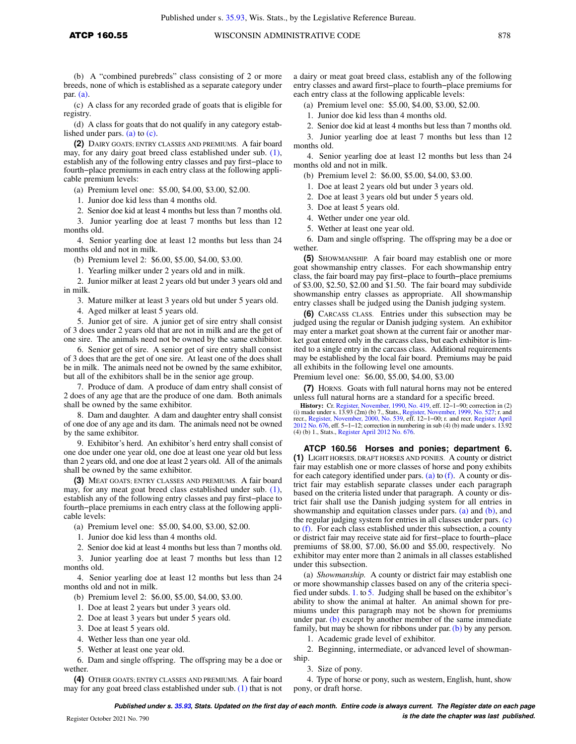(b) A "combined purebreds" class consisting of 2 or more breeds, none of which is established as a separate category under par. (a).

(c) A class for any recorded grade of goats that is eligible for registry.

(d) A class for goats that do not qualify in any category established under pars. (a) to (c).

**(2)** DAIRY GOATS; ENTRY CLASSES AND PREMIUMS. A fair board may, for any dairy goat breed class established under sub. (1), establish any of the following entry classes and pay first−place to fourth−place premiums in each entry class at the following applicable premium levels:

(a) Premium level one: \$5.00, \$4.00, \$3.00, \$2.00.

1. Junior doe kid less than 4 months old.

2. Senior doe kid at least 4 months but less than 7 months old.

3. Junior yearling doe at least 7 months but less than 12 months old.

4. Senior yearling doe at least 12 months but less than 24 months old and not in milk.

(b) Premium level 2: \$6.00, \$5.00, \$4.00, \$3.00.

1. Yearling milker under 2 years old and in milk.

2. Junior milker at least 2 years old but under 3 years old and in milk.

3. Mature milker at least 3 years old but under 5 years old.

4. Aged milker at least 5 years old.

5. Junior get of sire. A junior get of sire entry shall consist of 3 does under 2 years old that are not in milk and are the get of one sire. The animals need not be owned by the same exhibitor.

6. Senior get of sire. A senior get of sire entry shall consist of 3 does that are the get of one sire. At least one of the does shall be in milk. The animals need not be owned by the same exhibitor, but all of the exhibitors shall be in the senior age group.

7. Produce of dam. A produce of dam entry shall consist of 2 does of any age that are the produce of one dam. Both animals shall be owned by the same exhibitor.

8. Dam and daughter. A dam and daughter entry shall consist of one doe of any age and its dam. The animals need not be owned by the same exhibitor.

9. Exhibitor's herd. An exhibitor's herd entry shall consist of one doe under one year old, one doe at least one year old but less than 2 years old, and one doe at least 2 years old. All of the animals shall be owned by the same exhibitor.

**(3)** MEAT GOATS; ENTRY CLASSES AND PREMIUMS. A fair board may, for any meat goat breed class established under sub. (1), establish any of the following entry classes and pay first−place to fourth−place premiums in each entry class at the following applicable levels:

(a) Premium level one: \$5.00, \$4.00, \$3.00, \$2.00.

1. Junior doe kid less than 4 months old.

2. Senior doe kid at least 4 months but less than 7 months old.

3. Junior yearling doe at least 7 months but less than 12 months old.

4. Senior yearling doe at least 12 months but less than 24 months old and not in milk.

(b) Premium level 2: \$6.00, \$5.00, \$4.00, \$3.00.

1. Doe at least 2 years but under 3 years old.

2. Doe at least 3 years but under 5 years old.

3. Doe at least 5 years old.

4. Wether less than one year old.

5. Wether at least one year old.

6. Dam and single offspring. The offspring may be a doe or wether.

**(4)** OTHER GOATS; ENTRY CLASSES AND PREMIUMS. A fair board may for any goat breed class established under sub. (1) that is not

a dairy or meat goat breed class, establish any of the following entry classes and award first−place to fourth−place premiums for each entry class at the following applicable levels:

(a) Premium level one: \$5.00, \$4.00, \$3.00, \$2.00.

1. Junior doe kid less than 4 months old.

2. Senior doe kid at least 4 months but less than 7 months old.

3. Junior yearling doe at least 7 months but less than 12 months old.

4. Senior yearling doe at least 12 months but less than 24 months old and not in milk.

(b) Premium level 2: \$6.00, \$5.00, \$4.00, \$3.00.

1. Doe at least 2 years old but under 3 years old.

2. Doe at least 3 years old but under 5 years old.

3. Doe at least 5 years old.

4. Wether under one year old.

5. Wether at least one year old.

6. Dam and single offspring. The offspring may be a doe or wether.

**(5)** SHOWMANSHIP. A fair board may establish one or more goat showmanship entry classes. For each showmanship entry class, the fair board may pay first−place to fourth−place premiums of \$3.00, \$2.50, \$2.00 and \$1.50. The fair board may subdivide showmanship entry classes as appropriate. All showmanship entry classes shall be judged using the Danish judging system.

**(6)** CARCASS CLASS. Entries under this subsection may be judged using the regular or Danish judging system. An exhibitor may enter a market goat shown at the current fair or another market goat entered only in the carcass class, but each exhibitor is limited to a single entry in the carcass class. Additional requirements may be established by the local fair board. Premiums may be paid all exhibits in the following level one amounts.

Premium level one: \$6.00, \$5.00, \$4.00, \$3.00

**(7)** HORNS. Goats with full natural horns may not be entered unless full natural horns are a standard for a specific breed.

**History:** Cr. Register, November, 1990, No. 419, eff. 12–1–90; correction in (2) (i) made under s. 13.93 (2m) (b) 7., Stats., Register, November, 1999, No. 527; r. and recr., Register, November, 2000, No. 537, eff. 12–1–

**ATCP 160.56 Horses and ponies; department 6. (1)** LIGHT HORSES, DRAFT HORSES AND PONIES. A county or district fair may establish one or more classes of horse and pony exhibits for each category identified under pars. (a) to  $(f)$ . A county or district fair may establish separate classes under each paragraph based on the criteria listed under that paragraph. A county or district fair shall use the Danish judging system for all entries in showmanship and equitation classes under pars. (a) and (b), and the regular judging system for entries in all classes under pars. (c) to (f). For each class established under this subsection, a county or district fair may receive state aid for first−place to fourth−place premiums of \$8.00, \$7.00, \$6.00 and \$5.00, respectively. No exhibitor may enter more than 2 animals in all classes established under this subsection.

(a) *Showmanship.* A county or district fair may establish one or more showmanship classes based on any of the criteria specified under subds. 1. to 5. Judging shall be based on the exhibitor's ability to show the animal at halter. An animal shown for premiums under this paragraph may not be shown for premiums under par. (b) except by another member of the same immediate family, but may be shown for ribbons under par. (b) by any person.

1. Academic grade level of exhibitor.

2. Beginning, intermediate, or advanced level of showmanship.

3. Size of pony.

4. Type of horse or pony, such as western, English, hunt, show pony, or draft horse.

**Published under s. 35.93, Stats. Updated on the first day of each month. Entire code is always current. The Register date on each page is the date the chapter was last published.** Register October 2021 No. 790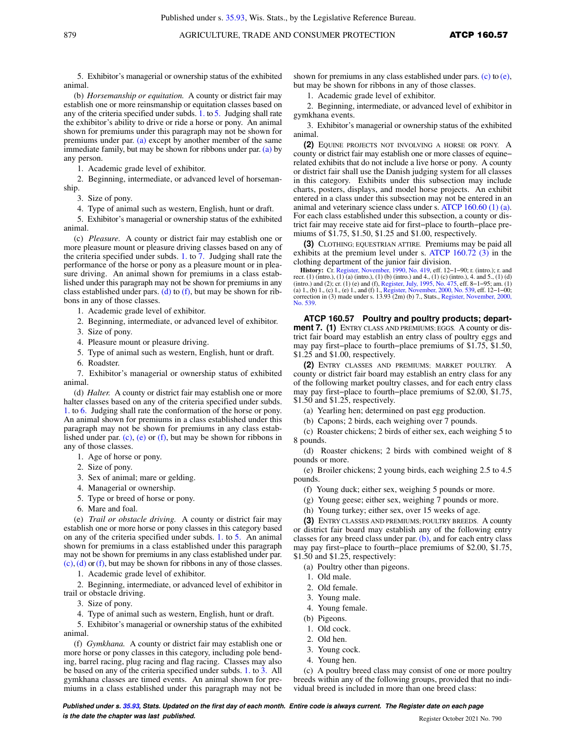5. Exhibitor's managerial or ownership status of the exhibited animal.

(b) *Horsemanship or equitation.* A county or district fair may establish one or more reinsmanship or equitation classes based on any of the criteria specified under subds. 1. to 5. Judging shall rate the exhibitor's ability to drive or ride a horse or pony. An animal shown for premiums under this paragraph may not be shown for premiums under par. (a) except by another member of the same immediate family, but may be shown for ribbons under par. (a) by any person.

1. Academic grade level of exhibitor.

2. Beginning, intermediate, or advanced level of horsemanship.

3. Size of pony.

4. Type of animal such as western, English, hunt or draft.

5. Exhibitor's managerial or ownership status of the exhibited animal.

(c) *Pleasure.* A county or district fair may establish one or more pleasure mount or pleasure driving classes based on any of the criteria specified under subds. 1. to 7. Judging shall rate the performance of the horse or pony as a pleasure mount or in pleasure driving. An animal shown for premiums in a class established under this paragraph may not be shown for premiums in any class established under pars. (d) to (f), but may be shown for ribbons in any of those classes.

1. Academic grade level of exhibitor.

2. Beginning, intermediate, or advanced level of exhibitor.

3. Size of pony.

4. Pleasure mount or pleasure driving.

5. Type of animal such as western, English, hunt or draft.

6. Roadster.

7. Exhibitor's managerial or ownership status of exhibited animal.

(d) *Halter.* A county or district fair may establish one or more halter classes based on any of the criteria specified under subds. 1. to 6. Judging shall rate the conformation of the horse or pony. An animal shown for premiums in a class established under this paragraph may not be shown for premiums in any class established under par. (c), (e) or (f), but may be shown for ribbons in any of those classes.

1. Age of horse or pony.

2. Size of pony.

3. Sex of animal; mare or gelding.

- 4. Managerial or ownership.
- 5. Type or breed of horse or pony.
- 6. Mare and foal.

(e) *Trail or obstacle driving.* A county or district fair may establish one or more horse or pony classes in this category based on any of the criteria specified under subds. 1. to 5. An animal shown for premiums in a class established under this paragraph may not be shown for premiums in any class established under par.  $(c)$ , (d) or (f), but may be shown for ribbons in any of those classes.

1. Academic grade level of exhibitor.

2. Beginning, intermediate, or advanced level of exhibitor in trail or obstacle driving.

3. Size of pony.

4. Type of animal such as western, English, hunt or draft.

5. Exhibitor's managerial or ownership status of the exhibited animal.

(f) *Gymkhana.* A county or district fair may establish one or more horse or pony classes in this category, including pole bending, barrel racing, plug racing and flag racing. Classes may also be based on any of the criteria specified under subds. 1. to 3. All gymkhana classes are timed events. An animal shown for premiums in a class established under this paragraph may not be shown for premiums in any class established under pars. (c) to (e), but may be shown for ribbons in any of those classes.

1. Academic grade level of exhibitor.

2. Beginning, intermediate, or advanced level of exhibitor in gymkhana events.

3. Exhibitor's managerial or ownership status of the exhibited animal.

**(2)** EQUINE PROJECTS NOT INVOLVING A HORSE OR PONY. A county or district fair may establish one or more classes of equine− related exhibits that do not include a live horse or pony. A county or district fair shall use the Danish judging system for all classes in this category. Exhibits under this subsection may include charts, posters, displays, and model horse projects. An exhibit entered in a class under this subsection may not be entered in an animal and veterinary science class under s. ATCP 160.60 (1) (a). For each class established under this subsection, a county or district fair may receive state aid for first−place to fourth−place premiums of \$1.75, \$1.50, \$1.25 and \$1.00, respectively.

**(3)** CLOTHING; EQUESTRIAN ATTIRE. Premiums may be paid all exhibits at the premium level under s. ATCP 160.72 (3) in the clothing department of the junior fair division.

**History:** Cr. Register, November, 1990, No. 419, eff. 12–1–90; r. (intro.); r. and recr. (1) (intro.), (1) (a) (intro.), (1) (b) (intro.) and 4., (1) (c) (intro.), 4. and 5., (1) (d) (intro.) and (2); cr. (1) (e) and (f), Register, July, 1995, No. 475, eff. 8−1−95; am. (1) (a) 1., (b) 1., (c) 1., (e) 1., and (f) 1., Register, November, 2000, No. 539, eff. 12−1−00; correction in (3) made under s. 13.93 (2m) (b) 7., Stats., Register, November, 2000, No. 539.

**ATCP 160.57 Poultry and poultry products; department 7. (1)** ENTRY CLASS AND PREMIUMS; EGGS*.* A county or district fair board may establish an entry class of poultry eggs and may pay first−place to fourth−place premiums of \$1.75, \$1.50, \$1.25 and \$1.00, respectively.

**(2)** ENTRY CLASSES AND PREMIUMS; MARKET POULTRY. A county or district fair board may establish an entry class for any of the following market poultry classes, and for each entry class may pay first−place to fourth−place premiums of \$2.00, \$1.75, \$1.50 and \$1.25, respectively.

(a) Yearling hen; determined on past egg production.

(b) Capons; 2 birds, each weighing over 7 pounds.

(c) Roaster chickens; 2 birds of either sex, each weighing 5 to 8 pounds.

(d) Roaster chickens; 2 birds with combined weight of 8 pounds or more.

(e) Broiler chickens; 2 young birds, each weighing 2.5 to 4.5 pounds.

(f) Young duck; either sex, weighing 5 pounds or more.

(g) Young geese; either sex, weighing 7 pounds or more.

(h) Young turkey; either sex, over 15 weeks of age.

**(3)** ENTRY CLASSES AND PREMIUMS; POULTRY BREEDS. A county or district fair board may establish any of the following entry classes for any breed class under par. (b), and for each entry class may pay first−place to fourth−place premiums of \$2.00, \$1.75, \$1.50 and \$1.25, respectively:

(a) Poultry other than pigeons.

- 1. Old male.
- 2. Old female.
- 3. Young male.
- 4. Young female.
- 
- (b) Pigeons.
- 1. Old cock.
- 2. Old hen.
- 3. Young cock.
- 4. Young hen.

(c) A poultry breed class may consist of one or more poultry breeds within any of the following groups, provided that no individual breed is included in more than one breed class: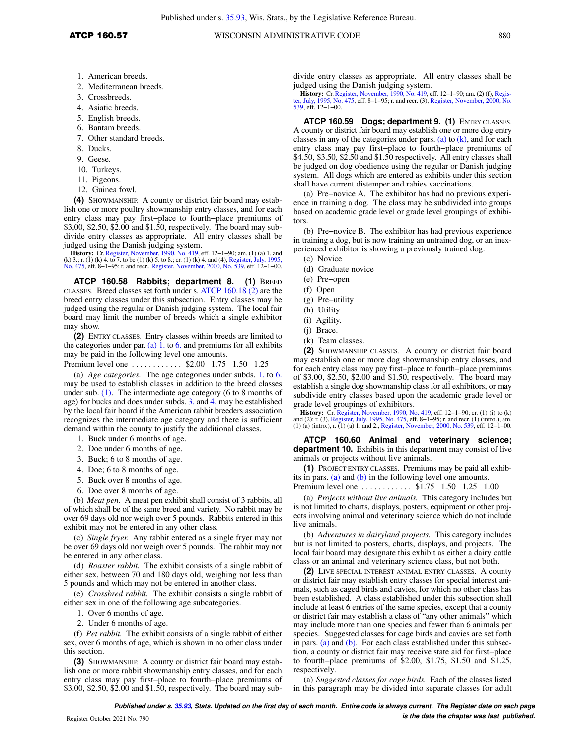- 2. Mediterranean breeds.
- 3. Crossbreeds.
- 4. Asiatic breeds.
- 5. English breeds.
- 6. Bantam breeds.
- 7. Other standard breeds.
- 8. Ducks.
- 9. Geese.
- 10. Turkeys.
- 11. Pigeons.
- 12. Guinea fowl.

**(4)** SHOWMANSHIP. A county or district fair board may establish one or more poultry showmanship entry classes, and for each entry class may pay first−place to fourth−place premiums of \$3,00, \$2.50, \$2.00 and \$1.50, respectively. The board may subdivide entry classes as appropriate. All entry classes shall be judged using the Danish judging system.

**History:** Cr. Register, November, 1990, No. 419, eff. 12–1–90; am. (1) (a) 1. and (k) 3.; r. (1) (k) 4. to be (1) (k) 5. to 8.; cr. (1) (k) 4. and (4), Register, July, 1995, No. 1995, No. 419, No. 475, eff. 8–1–95; r. and

**ATCP 160.58 Rabbits; department 8. (1)** BREED CLASSES. Breed classes set forth under s. ATCP 160.18 (2) are the breed entry classes under this subsection. Entry classes may be judged using the regular or Danish judging system. The local fair board may limit the number of breeds which a single exhibitor may show.

**(2)** ENTRY CLASSES. Entry classes within breeds are limited to the categories under par. (a)  $\overline{1}$ . to 6. and premiums for all exhibits may be paid in the following level one amounts.

Premium level one . . . . . . . . . . . \$2.00 1.75 1.50 1.25

(a) *Age categories.* The age categories under subds. 1. to 6. may be used to establish classes in addition to the breed classes under sub. (1). The intermediate age category (6 to 8 months of age) for bucks and does under subds. 3. and 4. may be established by the local fair board if the American rabbit breeders association recognizes the intermediate age category and there is sufficient demand within the county to justify the additional classes.

- 1. Buck under 6 months of age.
- 2. Doe under 6 months of age.
- 3. Buck; 6 to 8 months of age.
- 4. Doe; 6 to 8 months of age.
- 5. Buck over 8 months of age.
- 6. Doe over 8 months of age.

(b) *Meat pen.* A meat pen exhibit shall consist of 3 rabbits, all of which shall be of the same breed and variety. No rabbit may be over 69 days old nor weigh over 5 pounds. Rabbits entered in this exhibit may not be entered in any other class.

(c) *Single fryer.* Any rabbit entered as a single fryer may not be over 69 days old nor weigh over 5 pounds. The rabbit may not be entered in any other class.

(d) *Roaster rabbit.* The exhibit consists of a single rabbit of either sex, between 70 and 180 days old, weighing not less than 5 pounds and which may not be entered in another class.

(e) *Crossbred rabbit.* The exhibit consists a single rabbit of either sex in one of the following age subcategories.

- 1. Over 6 months of age.
- 2. Under 6 months of age.

(f) *Pet rabbit.* The exhibit consists of a single rabbit of either sex, over 6 months of age, which is shown in no other class under this section.

**(3)** SHOWMANSHIP. A county or district fair board may establish one or more rabbit showmanship entry classes, and for each entry class may pay first−place to fourth−place premiums of \$3.00, \$2.50, \$2.00 and \$1.50, respectively. The board may sub-

divide entry classes as appropriate. All entry classes shall be judged using the Danish judging system.

**History:** Cr. Register, November, 1990, No. 419, eff. 12−1−90; am. (2) (f), Register, July, 1995, No. 475, eff. 8−1−95; r. and recr. (3), Register, November, 2000, No. 539, eff. 12−1−00.

**ATCP 160.59 Dogs; department 9. (1)** ENTRY CLASSES. A county or district fair board may establish one or more dog entry classes in any of the categories under pars. (a) to  $(k)$ , and for each entry class may pay first−place to fourth−place premiums of \$4.50, \$3.50, \$2.50 and \$1.50 respectively. All entry classes shall be judged on dog obedience using the regular or Danish judging system. All dogs which are entered as exhibits under this section shall have current distemper and rabies vaccinations.

(a) Pre−novice A. The exhibitor has had no previous experience in training a dog. The class may be subdivided into groups based on academic grade level or grade level groupings of exhibitors.

(b) Pre−novice B. The exhibitor has had previous experience in training a dog, but is now training an untrained dog, or an inexperienced exhibitor is showing a previously trained dog.

- (c) Novice
- (d) Graduate novice
- (e) Pre−open
- (f) Open
- (g) Pre−utility
- (h) Utility
- (i) Agility.
- (j) Brace.
- (k) Team classes.

**(2)** SHOWMANSHIP CLASSES. A county or district fair board may establish one or more dog showmanship entry classes, and for each entry class may pay first−place to fourth−place premiums of \$3.00, \$2.50, \$2.00 and \$1.50, respectively. The board may establish a single dog showmanship class for all exhibitors, or may subdivide entry classes based upon the academic grade level or grade level groupings of exhibitors.

**History:** Cr. Register, November, 1990, No. 419, eff. 12–1–90; cr. (1) (i) to (k) and (2); r. (3), Register, July, 1995, No. 475, eff. 8–1–95; r. and recr. (1) (intro.), am.<br>(1) (a) (intro.), r. (1) (a) 1. and 2., Registe

**ATCP 160.60 Animal and veterinary science; department 10.** Exhibits in this department may consist of live animals or projects without live animals.

**(1)** PROJECT ENTRY CLASSES. Premiums may be paid all exhibits in pars. (a) and  $(b)$  in the following level one amounts.

Premium level one ........... \$1.75 1.50 1.25 1.00

(a) *Projects without live animals.* This category includes but is not limited to charts, displays, posters, equipment or other projects involving animal and veterinary science which do not include live animals.

(b) *Adventures in dairyland projects.* This category includes but is not limited to posters, charts, displays, and projects. The local fair board may designate this exhibit as either a dairy cattle class or an animal and veterinary science class, but not both.

**(2)** LIVE SPECIAL INTEREST ANIMAL ENTRY CLASSES. A county or district fair may establish entry classes for special interest animals, such as caged birds and cavies, for which no other class has been established. A class established under this subsection shall include at least 6 entries of the same species, except that a county or district fair may establish a class of "any other animals" which may include more than one species and fewer than 6 animals per species. Suggested classes for cage birds and cavies are set forth in pars. (a) and (b). For each class established under this subsection, a county or district fair may receive state aid for first−place to fourth−place premiums of \$2.00, \$1.75, \$1.50 and \$1.25, respectively.

(a) *Suggested classes for cage birds.* Each of the classes listed in this paragraph may be divided into separate classes for adult

**Published under s. 35.93, Stats. Updated on the first day of each month. Entire code is always current. The Register date on each page is the date the chapter was last published. is the date the chapter was last published.**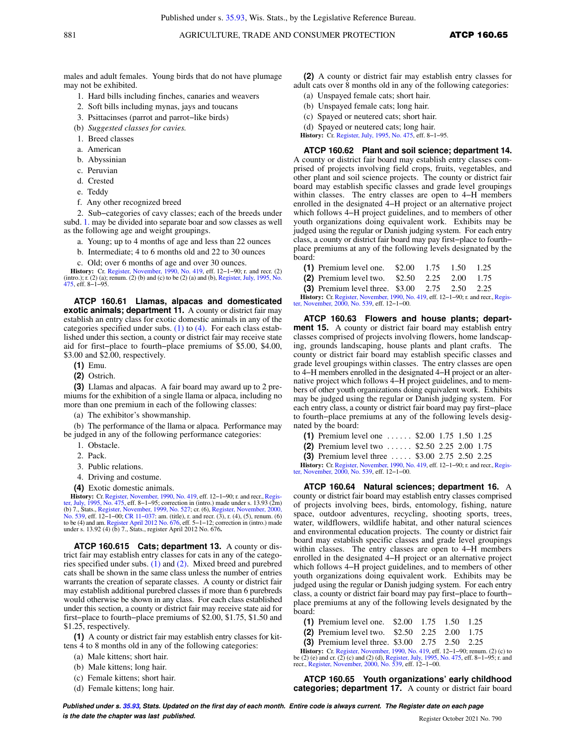males and adult females. Young birds that do not have plumage may not be exhibited.

- 1. Hard bills including finches, canaries and weavers
- 2. Soft bills including mynas, jays and toucans
- 3. Psittacinses (parrot and parrot−like birds)
- (b) *Suggested classes for cavies.*
- 1. Breed classes
- a. American
- b. Abyssinian
- c. Peruvian
- d. Crested
- e. Teddy
- f. Any other recognized breed

2. Sub−categories of cavy classes; each of the breeds under subd. 1. may be divided into separate boar and sow classes as well as the following age and weight groupings.

- a. Young; up to 4 months of age and less than 22 ounces
- b. Intermediate; 4 to 6 months old and 22 to 30 ounces
- c. Old; over 6 months of age and over 30 ounces.

**History:** Cr. Register, November, 1990, No. 419, eff. 12−1−90; r. and recr. (2) (intro.); r. (2) (a); renum. (2) (b) and (c) to be (2) (a) and (b), Register, July, 1995, No. 475, eff. 8−1−95.

**ATCP 160.61 Llamas, alpacas and domesticated exotic animals; department 11.** A county or district fair may establish an entry class for exotic domestic animals in any of the categories specified under subs. (1) to (4). For each class established under this section, a county or district fair may receive state aid for first−place to fourth−place premiums of \$5.00, \$4.00, \$3.00 and \$2.00, respectively.

**(1)** Emu.

**(2)** Ostrich.

**(3)** Llamas and alpacas. A fair board may award up to 2 premiums for the exhibition of a single llama or alpaca, including no more than one premium in each of the following classes:

(a) The exhibitor's showmanship.

(b) The performance of the llama or alpaca. Performance may be judged in any of the following performance categories:

- 1. Obstacle.
- 2. Pack.
- 3. Public relations.
- 4. Driving and costume.
- **(4)** Exotic domestic animals.

History: Cr. Register, November, 1990, No. 419, eff. 12-1-90; r. and recr., Register, July, 1995, No. 475, eff. 8−1−95; correction in (intro.) made under s. 13.93 (2m) (b) 7., Stats., Register, November, 1999, No. 527; cr. (6), Register, November, 2000, No. 539, eff. 12–1–00; CR 11–037: am. (itite), r. and recr. (3), r. (4), (5), renum. (6) to be (4) and am. Register April 2012 No. 676,

**ATCP 160.615 Cats; department 13.** A county or district fair may establish entry classes for cats in any of the categories specified under subs. (1) and (2). Mixed breed and purebred cats shall be shown in the same class unless the number of entries warrants the creation of separate classes. A county or district fair may establish additional purebred classes if more than 6 purebreds would otherwise be shown in any class. For each class established under this section, a county or district fair may receive state aid for first−place to fourth−place premiums of \$2.00, \$1.75, \$1.50 and \$1.25, respectively.

**(1)** A county or district fair may establish entry classes for kittens 4 to 8 months old in any of the following categories:

- (a) Male kittens; short hair.
- (b) Male kittens; long hair.
- (c) Female kittens; short hair.
- (d) Female kittens; long hair.

**(2)** A county or district fair may establish entry classes for adult cats over 8 months old in any of the following categories:

- (a) Unspayed female cats; short hair.
- (b) Unspayed female cats; long hair.
- (c) Spayed or neutered cats; short hair.

(d) Spayed or neutered cats; long hair.

**History:** Cr. Register, July, 1995, No. 475, eff. 8−1−95.

**ATCP 160.62 Plant and soil science; department 14.** A county or district fair board may establish entry classes comprised of projects involving field crops, fruits, vegetables, and other plant and soil science projects. The county or district fair board may establish specific classes and grade level groupings within classes. The entry classes are open to 4−H members enrolled in the designated 4−H project or an alternative project which follows 4−H project guidelines, and to members of other youth organizations doing equivalent work. Exhibits may be judged using the regular or Danish judging system. For each entry class, a county or district fair board may pay first−place to fourth− place premiums at any of the following levels designated by the board:

| (1) Premium level one. $$2.00$ 1.75 1.50 1.25       |  |  |  |
|-----------------------------------------------------|--|--|--|
| (2) Premium level two. $$2.50$ $2.25$ $2.00$ $1.75$ |  |  |  |
| (3) Premium level three. $$3.00$ 2.75 2.50 2.25     |  |  |  |

History: Cr. Register, November, 1990, No. 419, eff. 12-1-90; r. and recr., Register, November, 2000, No. 539, eff. 12−1−00.

**ATCP 160.63 Flowers and house plants; department 15.** A county or district fair board may establish entry classes comprised of projects involving flowers, home landscaping, grounds landscaping, house plants and plant crafts. The county or district fair board may establish specific classes and grade level groupings within classes. The entry classes are open to 4−H members enrolled in the designated 4−H project or an alternative project which follows 4−H project guidelines, and to members of other youth organizations doing equivalent work. Exhibits may be judged using the regular or Danish judging system. For each entry class, a county or district fair board may pay first−place to fourth−place premiums at any of the following levels designated by the board:

|  | (1) Premium level one $\dots$ \$2.00 1.75 1.50 1.25 |  |  |  |  |  |
|--|-----------------------------------------------------|--|--|--|--|--|
|--|-----------------------------------------------------|--|--|--|--|--|

|  | (2) Premium level two  \$2.50 2.25 2.00 1.75 |  |  |  |  |  |  |
|--|----------------------------------------------|--|--|--|--|--|--|
|--|----------------------------------------------|--|--|--|--|--|--|

**(3)** Premium level three . . . . . \$3.00 2.75 2.50 2.25

**History:** Cr. Register, November, 1990, No. 419, eff. 12–1–90; r. and recr., Register, November, 2000, No. 539, eff. 12−1−00.

**ATCP 160.64 Natural sciences; department 16.** A county or district fair board may establish entry classes comprised of projects involving bees, birds, entomology, fishing, nature space, outdoor adventures, recycling, shooting sports, trees, water, wildflowers, wildlife habitat, and other natural sciences and environmental education projects. The county or district fair board may establish specific classes and grade level groupings within classes. The entry classes are open to 4−H members enrolled in the designated 4−H project or an alternative project which follows 4−H project guidelines, and to members of other youth organizations doing equivalent work. Exhibits may be judged using the regular or Danish judging system. For each entry class, a county or district fair board may pay first−place to fourth− place premiums at any of the following levels designated by the board:

- **(1)** Premium level one. \$2.00 1.75 1.50 1.25
- **(2)** Premium level two. \$2.50 2.25 2.00 1.75
- **(3)** Premium level three. \$3.00 2.75 2.50 2.25

**History:** Cr. Register, November, 1990, No. 419, eff. 12–1–90; renum. (2) (c) to be (2) (e) and cr. (2) (c) and (2) (d), Register, July, 1995, No. 475, eff. 8–1–95; r. and recr., Register, November, 2000, No. 539, eff. 12−1−00.

**ATCP 160.65 Youth organizations' early childhood categories; department 17.** A county or district fair board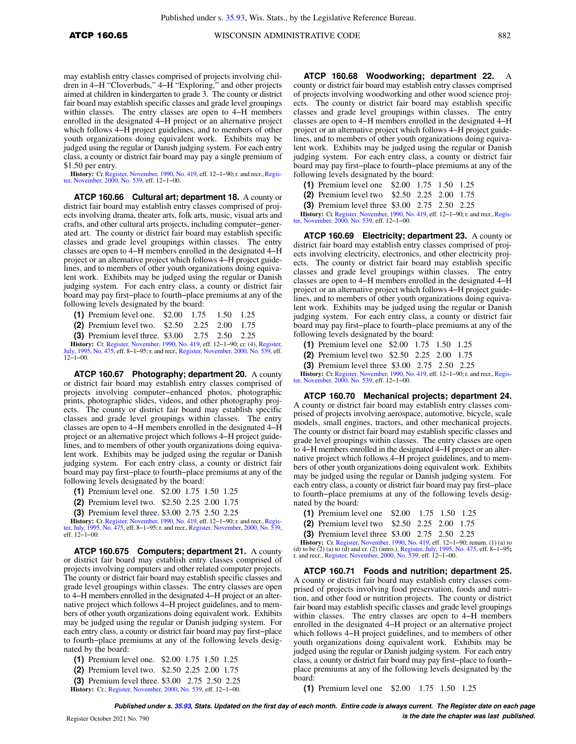may establish entry classes comprised of projects involving children in 4−H "Cloverbuds," 4−H "Exploring," and other projects aimed at children in kindergarten to grade 3. The county or district fair board may establish specific classes and grade level groupings within classes. The entry classes are open to 4−H members enrolled in the designated 4−H project or an alternative project which follows 4−H project guidelines, and to members of other youth organizations doing equivalent work. Exhibits may be judged using the regular or Danish judging system. For each entry class, a county or district fair board may pay a single premium of \$1.50 per entry.

History: Cr. Register, November, 1990, No. 419, eff. 12–1–90; r. and recr., Register, November, 2000, No. 539, eff. 12−1−00.

**ATCP 160.66 Cultural art; department 18.** A county or district fair board may establish entry classes comprised of projects involving drama, theater arts, folk arts, music, visual arts and crafts, and other cultural arts projects, including computer−generated art. The county or district fair board may establish specific classes and grade level groupings within classes. The entry classes are open to 4−H members enrolled in the designated 4−H project or an alternative project which follows 4−H project guidelines, and to members of other youth organizations doing equivalent work. Exhibits may be judged using the regular or Danish judging system. For each entry class, a county or district fair board may pay first−place to fourth−place premiums at any of the following levels designated by the board:

| (1) Premium level one. $$2.00$ 1.75 1.50 1.25                                           |  |  |
|-----------------------------------------------------------------------------------------|--|--|
| (2) Premium level two. $$2.50$ $2.25$ $2.00$ $1.75$                                     |  |  |
| <b>(3)</b> Premium level three. \$3.00 2.75 2.50 2.25                                   |  |  |
| <b>History:</b> Cr. Register, November, 1990, No. 419, eff. 12–1–90; cr. (4), Register, |  |  |
| July, 1995, No. 475, eff. 8–1–95; r. and recr., Register, November, 2000, No. 539, eff. |  |  |

July, 1995<br>12−1−00.

**ATCP 160.67 Photography; department 20.** A county or district fair board may establish entry classes comprised of projects involving computer−enhanced photos, photographic prints, photographic slides, videos, and other photography projects. The county or district fair board may establish specific classes and grade level groupings within classes. The entry classes are open to 4−H members enrolled in the designated 4−H project or an alternative project which follows 4−H project guidelines, and to members of other youth organizations doing equivalent work. Exhibits may be judged using the regular or Danish judging system. For each entry class, a county or district fair board may pay first−place to fourth−place premiums at any of the following levels designated by the board:

- **(1)** Premium level one. \$2.00 1.75 1.50 1.25
- **(2)** Premium level two. \$2.50 2.25 2.00 1.75
- **(3)** Premium level three. \$3.00 2.75 2.50 2.25

**History:** Cr. Register, November, 1990, No. 419, eff. 12−1–90; r. and recr., Register, July, 1995, No. 475, eff. 8−1–95; r. and recr., Register, November, 2000, No. 539, eff. 12−1–00.

**ATCP 160.675 Computers; department 21.** A county or district fair board may establish entry classes comprised of projects involving computers and other related computer projects. The county or district fair board may establish specific classes and grade level groupings within classes. The entry classes are open to 4−H members enrolled in the designated 4−H project or an alternative project which follows 4−H project guidelines, and to members of other youth organizations doing equivalent work. Exhibits may be judged using the regular or Danish judging system. For each entry class, a county or district fair board may pay first−place to fourth−place premiums at any of the following levels designated by the board:

- **(1)** Premium level one. \$2.00 1.75 1.50 1.25
- **(2)** Premium level two. \$2.50 2.25 2.00 1.75
- **(3)** Premium level three. \$3.00 2.75 2.50 2.25
- **History:** Cr., Register, November, 2000, No. 539, eff. 12−1−00.

**ATCP 160.68 Woodworking; department 22.** A county or district fair board may establish entry classes comprised of projects involving woodworking and other wood science projects. The county or district fair board may establish specific classes and grade level groupings within classes. The entry classes are open to 4−H members enrolled in the designated 4−H project or an alternative project which follows 4−H project guidelines, and to members of other youth organizations doing equivalent work. Exhibits may be judged using the regular or Danish judging system. For each entry class, a county or district fair board may pay first−place to fourth−place premiums at any of the following levels designated by the board:

| (1) Premium level one $$2.00$ 1.75 1.50 1.25 |  |  |  |  |
|----------------------------------------------|--|--|--|--|
|----------------------------------------------|--|--|--|--|

- **(2)** Premium level two \$2.50 2.25 2.00 1.75
- **(3)** Premium level three \$3.00 2.75 2.50 2.25

**History:** Cr. Register, November, 1990, No. 419, eff. 12–1–90; r. and recr., Register, November, 2000, No. 539, eff. 12–1–00.

**ATCP 160.69 Electricity; department 23.** A county or district fair board may establish entry classes comprised of projects involving electricity, electronics, and other electricity projects. The county or district fair board may establish specific classes and grade level groupings within classes. The entry classes are open to 4−H members enrolled in the designated 4−H project or an alternative project which follows 4−H project guidelines, and to members of other youth organizations doing equivalent work. Exhibits may be judged using the regular or Danish judging system. For each entry class, a county or district fair board may pay first−place to fourth−place premiums at any of the following levels designated by the board:

**(1)** Premium level one \$2.00 1.75 1.50 1.25

- **(2)** Premium level two \$2.50 2.25 2.00 1.75
- **(3)** Premium level three \$3.00 2.75 2.50 2.25

**History:** Cr. Register, November, 1990, No. 419, eff. 12–1–90; r. and recr., Register, November, 2000, No. 539, eff. 12–1–00.

**ATCP 160.70 Mechanical projects; department 24.** A county or district fair board may establish entry classes comprised of projects involving aerospace, automotive, bicycle, scale models, small engines, tractors, and other mechanical projects. The county or district fair board may establish specific classes and grade level groupings within classes. The entry classes are open to 4−H members enrolled in the designated 4−H project or an alternative project which follows 4−H project guidelines, and to members of other youth organizations doing equivalent work. Exhibits may be judged using the regular or Danish judging system. For each entry class, a county or district fair board may pay first−place to fourth−place premiums at any of the following levels designated by the board:

- **(1)** Premium level one \$2.00 1.75 1.50 1.25
- **(2)** Premium level two \$2.50 2.25 2.00 1.75
- **(3)** Premium level three \$3.00 2.75 2.50 2.25

**History:** Cr. Register, November, 1990, No. 419, eff. 12–1–90; renum. (1) (a) to the (2) (a) to the 12) intro.), Register, July, 1995, No. 475, eff. 8–1–95; r. and recr., Register, November, 2000, No. 539, eff. 12–1–00.

**ATCP 160.71 Foods and nutrition; department 25.** A county or district fair board may establish entry classes comprised of projects involving food preservation, foods and nutrition, and other food or nutrition projects. The county or district fair board may establish specific classes and grade level groupings within classes. The entry classes are open to 4−H members enrolled in the designated 4−H project or an alternative project which follows 4−H project guidelines, and to members of other youth organizations doing equivalent work. Exhibits may be judged using the regular or Danish judging system. For each entry class, a county or district fair board may pay first−place to fourth− place premiums at any of the following levels designated by the board:

**(1)** Premium level one \$2.00 1.75 1.50 1.25

**Published under s. 35.93, Stats. Updated on the first day of each month. Entire code is always current. The Register date on each page**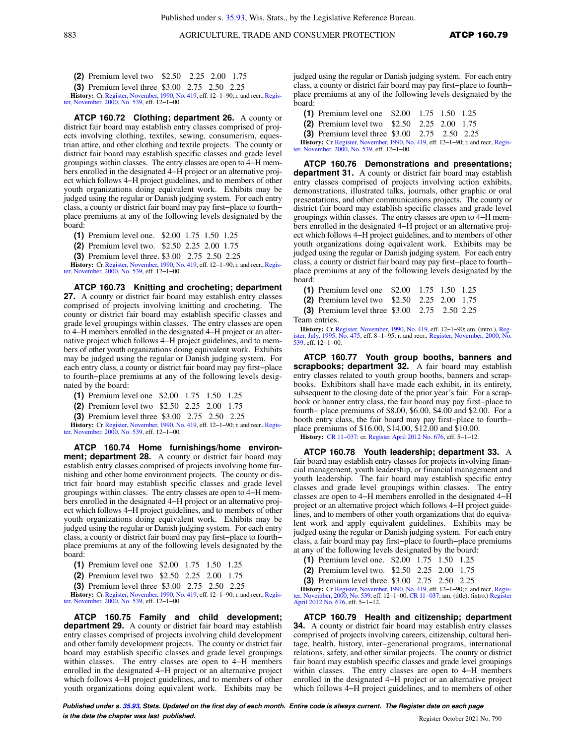**(3)** Premium level three \$3.00 2.75 2.50 2.25

**History:** Cr. Register, November, 1990, No. 419, eff. 12–1–90; r. and recr., Register, November, 2000, No. 539, eff. 12–1–00.

**ATCP 160.72 Clothing; department 26.** A county or district fair board may establish entry classes comprised of projects involving clothing, textiles, sewing, consumerism, equestrian attire, and other clothing and textile projects. The county or district fair board may establish specific classes and grade level groupings within classes. The entry classes are open to 4−H members enrolled in the designated 4−H project or an alternative project which follows 4−H project guidelines, and to members of other youth organizations doing equivalent work. Exhibits may be judged using the regular or Danish judging system. For each entry class, a county or district fair board may pay first−place to fourth− place premiums at any of the following levels designated by the board:

**(1)** Premium level one. \$2.00 1.75 1.50 1.25

**(2)** Premium level two. \$2.50 2.25 2.00 1.75

**(3)** Premium level three. \$3.00 2.75 2.50 2.25

**History:** Cr. Register, November, 1990, No. 419, eff. 12–1–90; r. and recr., Register, November, 2000, No. 539, eff. 12–1–00.

**ATCP 160.73 Knitting and crocheting; department 27.** A county or district fair board may establish entry classes comprised of projects involving knitting and crocheting. The county or district fair board may establish specific classes and grade level groupings within classes. The entry classes are open to 4−H members enrolled in the designated 4−H project or an alternative project which follows 4−H project guidelines, and to members of other youth organizations doing equivalent work. Exhibits may be judged using the regular or Danish judging system. For each entry class, a county or district fair board may pay first−place to fourth−place premiums at any of the following levels designated by the board:

**(1)** Premium level one \$2.00 1.75 1.50 1.25

**(2)** Premium level two \$2.50 2.25 2.00 1.75

**(3)** Premium level three \$3.00 2.75 2.50 2.25

**History:** Cr. Register, November, 1990, No. 419, eff. 12–1–90; r. and recr., Register, November, 2000, No. 539, eff. 12–1–00.

**ATCP 160.74 Home furnishings/home environment; department 28.** A county or district fair board may establish entry classes comprised of projects involving home furnishing and other home environment projects. The county or district fair board may establish specific classes and grade level groupings within classes. The entry classes are open to 4−H members enrolled in the designated 4−H project or an alternative project which follows 4−H project guidelines, and to members of other youth organizations doing equivalent work. Exhibits may be judged using the regular or Danish judging system. For each entry class, a county or district fair board may pay first−place to fourth− place premiums at any of the following levels designated by the board:

- **(1)** Premium level one \$2.00 1.75 1.50 1.25
- **(2)** Premium level two \$2.50 2.25 2.00 1.75

**(3)** Premium level three \$3.00 2.75 2.50 2.25

**History:** Cr. Register, November, 1990, No. 419, eff. 12–1–90; r. and recr., Register, November, 2000, No. 539, eff. 12–1–00.

**ATCP 160.75 Family and child development; department 29.** A county or district fair board may establish entry classes comprised of projects involving child development and other family development projects. The county or district fair board may establish specific classes and grade level groupings within classes. The entry classes are open to 4−H members enrolled in the designated 4−H project or an alternative project which follows 4−H project guidelines, and to members of other youth organizations doing equivalent work. Exhibits may be

judged using the regular or Danish judging system. For each entry class, a county or district fair board may pay first−place to fourth− place premiums at any of the following levels designated by the board:

| (1) Premium level one $$2.00$ 1.75 1.50 1.25     |  |  |
|--------------------------------------------------|--|--|
| (2) Premium level two $$2.50$ $2.25$ $2.00$ 1.75 |  |  |
| $\sim$                                           |  |  |

**(3)** Premium level three \$3.00 2.75 2.50 2.25

**History:** Cr. Register, November, 1990, No. 419, eff. 12−1−90; r. and recr.,Register, November, 2000, No. 539, eff. 12−1−00.

**ATCP 160.76 Demonstrations and presentations; department 31.** A county or district fair board may establish entry classes comprised of projects involving action exhibits, demonstrations, illustrated talks, journals, other graphic or oral presentations, and other communications projects. The county or district fair board may establish specific classes and grade level groupings within classes. The entry classes are open to 4−H members enrolled in the designated 4−H project or an alternative project which follows 4−H project guidelines, and to members of other youth organizations doing equivalent work. Exhibits may be judged using the regular or Danish judging system. For each entry class, a county or district fair board may pay first−place to fourth− place premiums at any of the following levels designated by the board:

**(1)** Premium level one \$2.00 1.75 1.50 1.25 **(2)** Premium level two \$2.50 2.25 2.00 1.75

**(3)** Premium level three \$3.00 2.75 2.50 2.25

Team entries.

**History:** Cr. Register, November, 1990, No. 419, eff. 12−1−90; am. (intro.), Reg-1995, No. 475, eff. 8-1-95; r. and recr., Register, November, 2000, No. 539, eff. 12−1−00.

**ATCP 160.77 Youth group booths, banners and scrapbooks; department 32.** A fair board may establish entry classes related to youth group booths, banners and scrapbooks. Exhibitors shall have made each exhibit, in its entirety, subsequent to the closing date of the prior year's fair. For a scrapbook or banner entry class, the fair board may pay first−place to fourth− place premiums of \$8.00, \$6.00, \$4.00 and \$2.00. For a booth entry class, the fair board may pay first−place to fourth− place premiums of \$16.00, \$14.00, \$12.00 and \$10.00.

**History:** CR 11−037: cr. Register April 2012 No. 676, eff. 5−1−12.

**ATCP 160.78 Youth leadership; department 33.** A fair board may establish entry classes for projects involving financial management, youth leadership, or financial management and youth leadership. The fair board may establish specific entry classes and grade level groupings within classes. The entry classes are open to 4−H members enrolled in the designated 4−H project or an alternative project which follows 4−H project guidelines, and to members of other youth organizations that do equivalent work and apply equivalent guidelines. Exhibits may be judged using the regular or Danish judging system. For each entry class, a fair board may pay first−place to fourth−place premiums at any of the following levels designated by the board:

- **(1)** Premium level one. \$2.00 1.75 1.50 1.25
- **(2)** Premium level two. \$2.50 2.25 2.00 1.75
- **(3)** Premium level three. \$3.00 2.75 2.50 2.25

**History:** Cr. Register, November, 1990, No. 419, eff. 12–1–90; r. and recr., Register, November, 2000, No. 539, eff. 12–1–00; CR 11–037: am. (title), (intro.) Register April 2012 No. 676, eff. 5−1−12.

**ATCP 160.79 Health and citizenship; department 34.** A county or district fair board may establish entry classes comprised of projects involving careers, citizenship, cultural heritage, health, history, inter−generational programs, international relations, safety, and other similar projects. The county or district fair board may establish specific classes and grade level groupings within classes. The entry classes are open to 4−H members enrolled in the designated 4−H project or an alternative project which follows 4−H project guidelines, and to members of other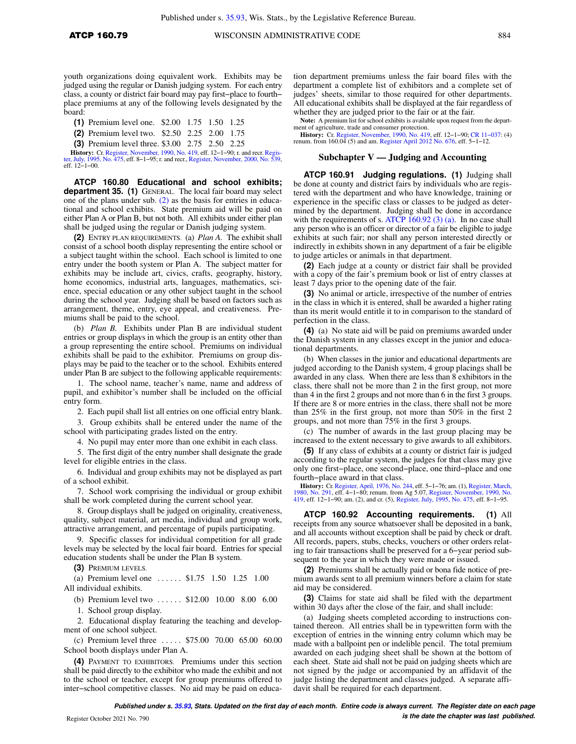youth organizations doing equivalent work. Exhibits may be judged using the regular or Danish judging system. For each entry class, a county or district fair board may pay first−place to fourth− place premiums at any of the following levels designated by the board:

**(1)** Premium level one. \$2.00 1.75 1.50 1.25

**(2)** Premium level two. \$2.50 2.25 2.00 1.75

**(3)** Premium level three. \$3.00 2.75 2.50 2.25

**History:** Cr. Register, November, 1990, No. 419, eff. 12–1–90; r. and recr. Register, July, 1995, No. 475, eff. 8–1–95; r. and recr., Register, November, 2000, No. 539, eff. 12−1−00.

**ATCP 160.80 Educational and school exhibits; department 35. (1)** GENERAL. The local fair board may select one of the plans under sub. (2) as the basis for entries in educational and school exhibits. State premium aid will be paid on either Plan A or Plan B, but not both. All exhibits under either plan shall be judged using the regular or Danish judging system.

**(2)** ENTRY PLAN REQUIREMENTS. (a) *Plan A.* The exhibit shall consist of a school booth display representing the entire school or a subject taught within the school. Each school is limited to one entry under the booth system or Plan A. The subject matter for exhibits may be include art, civics, crafts, geography, history, home economics, industrial arts, languages, mathematics, science, special education or any other subject taught in the school during the school year. Judging shall be based on factors such as arrangement, theme, entry, eye appeal, and creativeness. Premiums shall be paid to the school.

(b) *Plan B.* Exhibits under Plan B are individual student entries or group displays in which the group is an entity other than a group representing the entire school. Premiums on individual exhibits shall be paid to the exhibitor. Premiums on group displays may be paid to the teacher or to the school. Exhibits entered under Plan B are subject to the following applicable requirements:

1. The school name, teacher's name, name and address of pupil, and exhibitor's number shall be included on the official entry form.

2. Each pupil shall list all entries on one official entry blank.

3. Group exhibits shall be entered under the name of the school with participating grades listed on the entry.

4. No pupil may enter more than one exhibit in each class.

5. The first digit of the entry number shall designate the grade level for eligible entries in the class.

6. Individual and group exhibits may not be displayed as part of a school exhibit.

7. School work comprising the individual or group exhibit shall be work completed during the current school year.

8. Group displays shall be judged on originality, creativeness, quality, subject material, art media, individual and group work, attractive arrangement, and percentage of pupils participating.

9. Specific classes for individual competition for all grade levels may be selected by the local fair board. Entries for special education students shall be under the Plan B system.

**(3)** PREMIUM LEVELS.

(a) Premium level one . . . . . . \$1.75 1.50 1.25 1.00 All individual exhibits.

(b) Premium level two . . . . . . \$12.00 10.00 8.00 6.00

1. School group display.

2. Educational display featuring the teaching and development of one school subject.

(c) Premium level three . . . . . \$75.00 70.00 65.00 60.00 School booth displays under Plan A.

**(4)** PAYMENT TO EXHIBITORS. Premiums under this section shall be paid directly to the exhibitor who made the exhibit and not to the school or teacher, except for group premiums offered to inter−school competitive classes. No aid may be paid on educa-

tion department premiums unless the fair board files with the department a complete list of exhibitors and a complete set of judges' sheets, similar to those required for other departments. All educational exhibits shall be displayed at the fair regardless of whether they are judged prior to the fair or at the fair.

**Note:** A premium list for school exhibits is available upon request from the department of agriculture, trade and consumer protection.<br> **History:** Cr. Register, November, 1990, No. 419, eff. 12–1–90; CR 11–037: (4)

renum. from 160.04 (5) and am. Register April 2012 No. 676, eff. 5−1−12.

#### **Subchapter V — Judging and Accounting**

**ATCP 160.91 Judging regulations. (1)** Judging shall be done at county and district fairs by individuals who are registered with the department and who have knowledge, training or experience in the specific class or classes to be judged as determined by the department. Judging shall be done in accordance with the requirements of s. ATCP 160.92 (3) (a). In no case shall any person who is an officer or director of a fair be eligible to judge exhibits at such fair; nor shall any person interested directly or indirectly in exhibits shown in any department of a fair be eligible to judge articles or animals in that department.

**(2)** Each judge at a county or district fair shall be provided with a copy of the fair's premium book or list of entry classes at least 7 days prior to the opening date of the fair.

**(3)** No animal or article, irrespective of the number of entries in the class in which it is entered, shall be awarded a higher rating than its merit would entitle it to in comparison to the standard of perfection in the class.

**(4)** (a) No state aid will be paid on premiums awarded under the Danish system in any classes except in the junior and educational departments.

(b) When classes in the junior and educational departments are judged according to the Danish system, 4 group placings shall be awarded in any class. When there are less than 8 exhibitors in the class, there shall not be more than 2 in the first group, not more than 4 in the first 2 groups and not more than 6 in the first 3 groups. If there are 8 or more entries in the class, there shall not be more than 25% in the first group, not more than 50% in the first 2 groups, and not more than 75% in the first 3 groups.

(c) The number of awards in the last group placing may be increased to the extent necessary to give awards to all exhibitors.

**(5)** If any class of exhibits at a county or district fair is judged according to the regular system, the judges for that class may give only one first−place, one second−place, one third−place and one fourth−place award in that class.

**History:** Cr. Register, April, 1976, No. 244, eff. 5–1–76; am. (1), Register, March, 1980, No. 291, eff. 4–1–80; remum. from Ag 5.07, Register, November, 1990, No.<br>1980, No. 291, eff. 12–1–90; am. (2), and cr. (5), Regist

**ATCP 160.92 Accounting requirements.** receipts from any source whatsoever shall be deposited in a bank, and all accounts without exception shall be paid by check or draft. All records, papers, stubs, checks, vouchers or other orders relating to fair transactions shall be preserved for a 6−year period subsequent to the year in which they were made or issued.

**(2)** Premiums shall be actually paid or bona fide notice of premium awards sent to all premium winners before a claim for state aid may be considered.

**(3)** Claims for state aid shall be filed with the department within 30 days after the close of the fair, and shall include:

(a) Judging sheets completed according to instructions contained thereon. All entries shall be in typewritten form with the exception of entries in the winning entry column which may be made with a ballpoint pen or indelible pencil. The total premium awarded on each judging sheet shall be shown at the bottom of each sheet. State aid shall not be paid on judging sheets which are not signed by the judge or accompanied by an affidavit of the judge listing the department and classes judged. A separate affidavit shall be required for each department.

**Published under s. 35.93, Stats. Updated on the first day of each month. Entire code is always current. The Register date on each page is the date the chapter was last published.** Register October 2021 No. 790